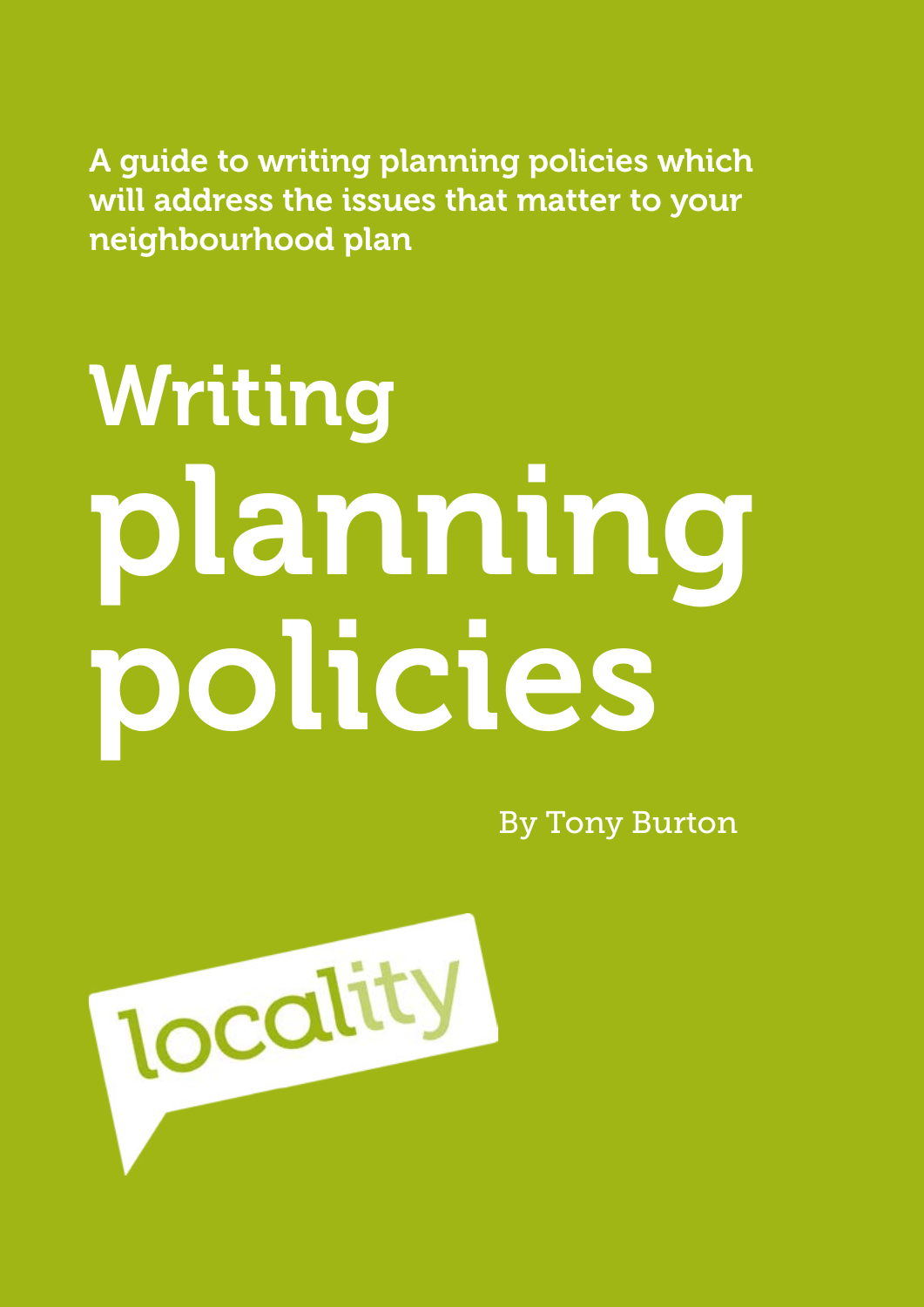A guide to writing planning policies which will address the issues that matter to your neighbourhood plan

# Writing planning policies

By Tony Burton

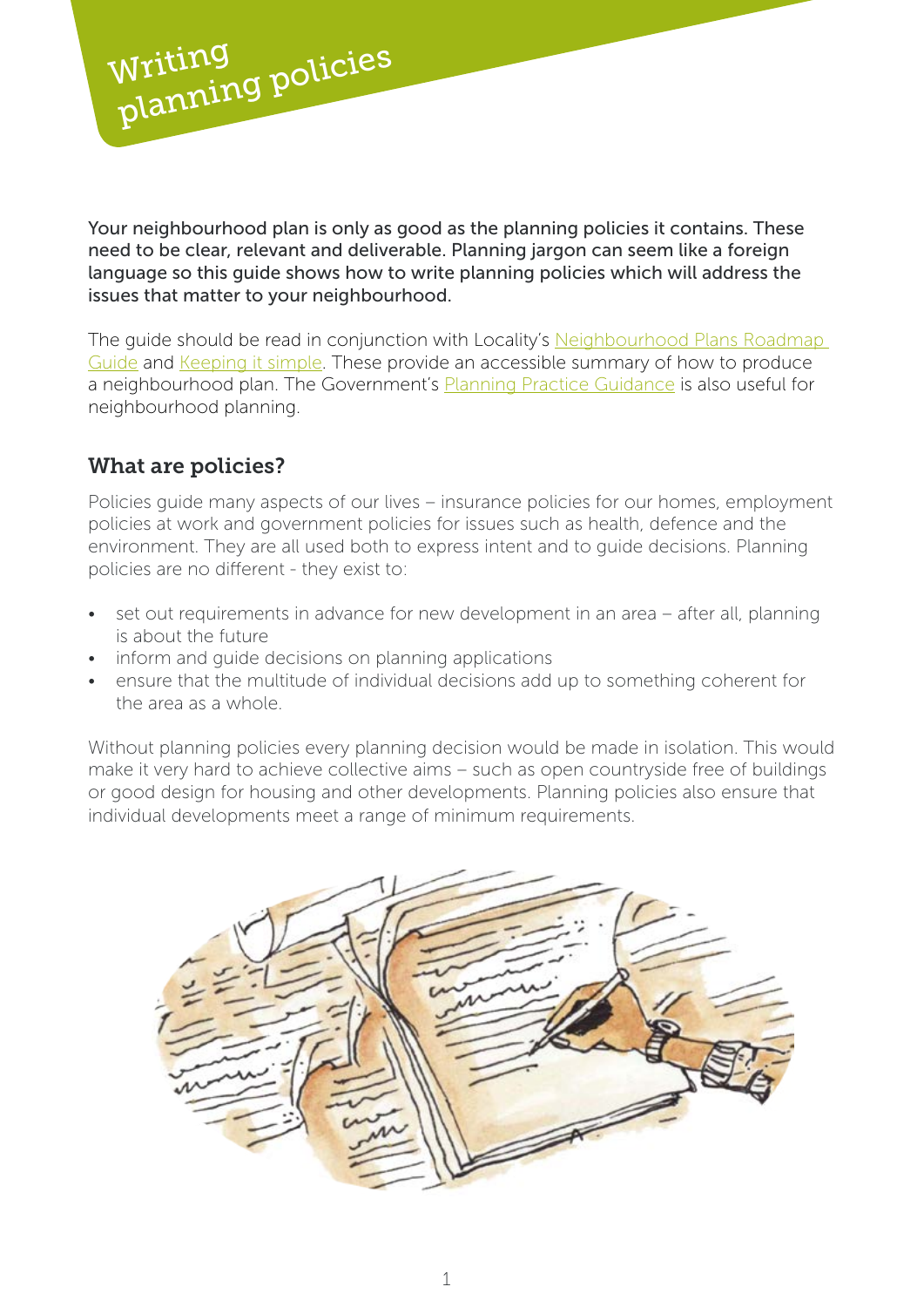

Your neighbourhood plan is only as good as the planning policies it contains. These need to be clear, relevant and deliverable. Planning jargon can seem like a foreign language so this guide shows how to write planning policies which will address the issues that matter to your neighbourhood.

The guide should be read in conjunction with Locality's Neighbourhood Plans Roadmap [Guide](http://mycommunityrights.org.uk/wp-content/uploads/2012/04/Roadmap-worksheets-map-May-13.pdf) and [Keeping it simple.](http://mycommunityrights.org.uk/wp-content/uploads/2012/04/keeping-it-simple-v3.pdf) These provide an accessible summary of how to produce a neighbourhood plan. The Government's [Planning Practice Guidance](http://planningguidance.planningportal.gov.uk/blog/guidance/neighbourhood-planning/%20) is also useful for neighbourhood planning.

# What are policies?

Policies guide many aspects of our lives – insurance policies for our homes, employment policies at work and government policies for issues such as health, defence and the environment. They are all used both to express intent and to guide decisions. Planning policies are no different - they exist to:

- set out requirements in advance for new development in an area after all, planning is about the future
- inform and quide decisions on planning applications
- ensure that the multitude of individual decisions add up to something coherent for the area as a whole.

Without planning policies every planning decision would be made in isolation. This would make it very hard to achieve collective aims – such as open countryside free of buildings or good design for housing and other developments. Planning policies also ensure that individual developments meet a range of minimum requirements.

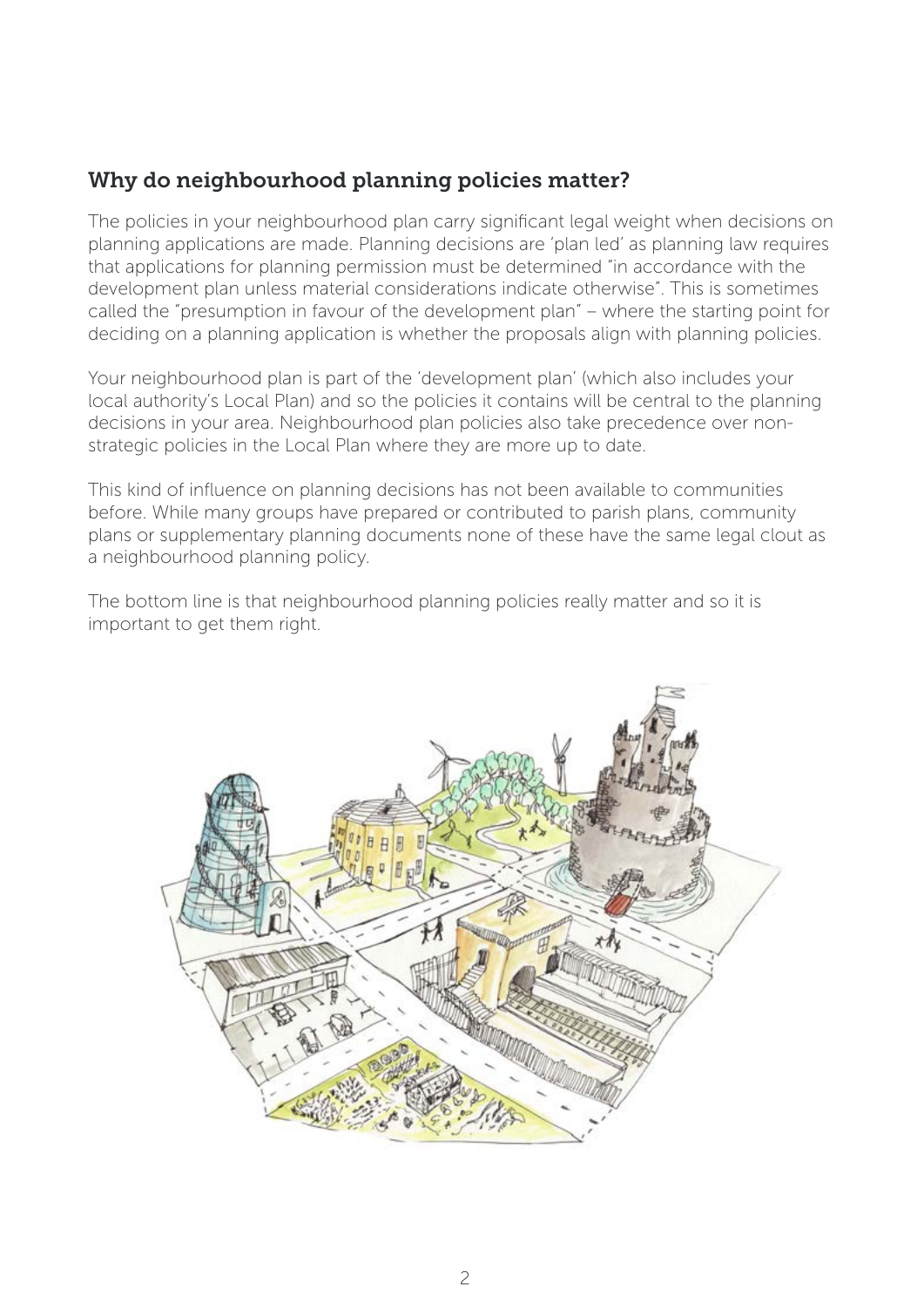# Why do neighbourhood planning policies matter?

The policies in your neighbourhood plan carry significant legal weight when decisions on planning applications are made. Planning decisions are 'plan led' as planning law requires that applications for planning permission must be determined "in accordance with the development plan unless material considerations indicate otherwise". This is sometimes called the "presumption in favour of the development plan" – where the starting point for deciding on a planning application is whether the proposals align with planning policies.

Your neighbourhood plan is part of the 'development plan' (which also includes your local authority's Local Plan) and so the policies it contains will be central to the planning decisions in your area. Neighbourhood plan policies also take precedence over nonstrategic policies in the Local Plan where they are more up to date.

This kind of influence on planning decisions has not been available to communities before. While many groups have prepared or contributed to parish plans, community plans or supplementary planning documents none of these have the same legal clout as a neighbourhood planning policy.

The bottom line is that neighbourhood planning policies really matter and so it is important to get them right.

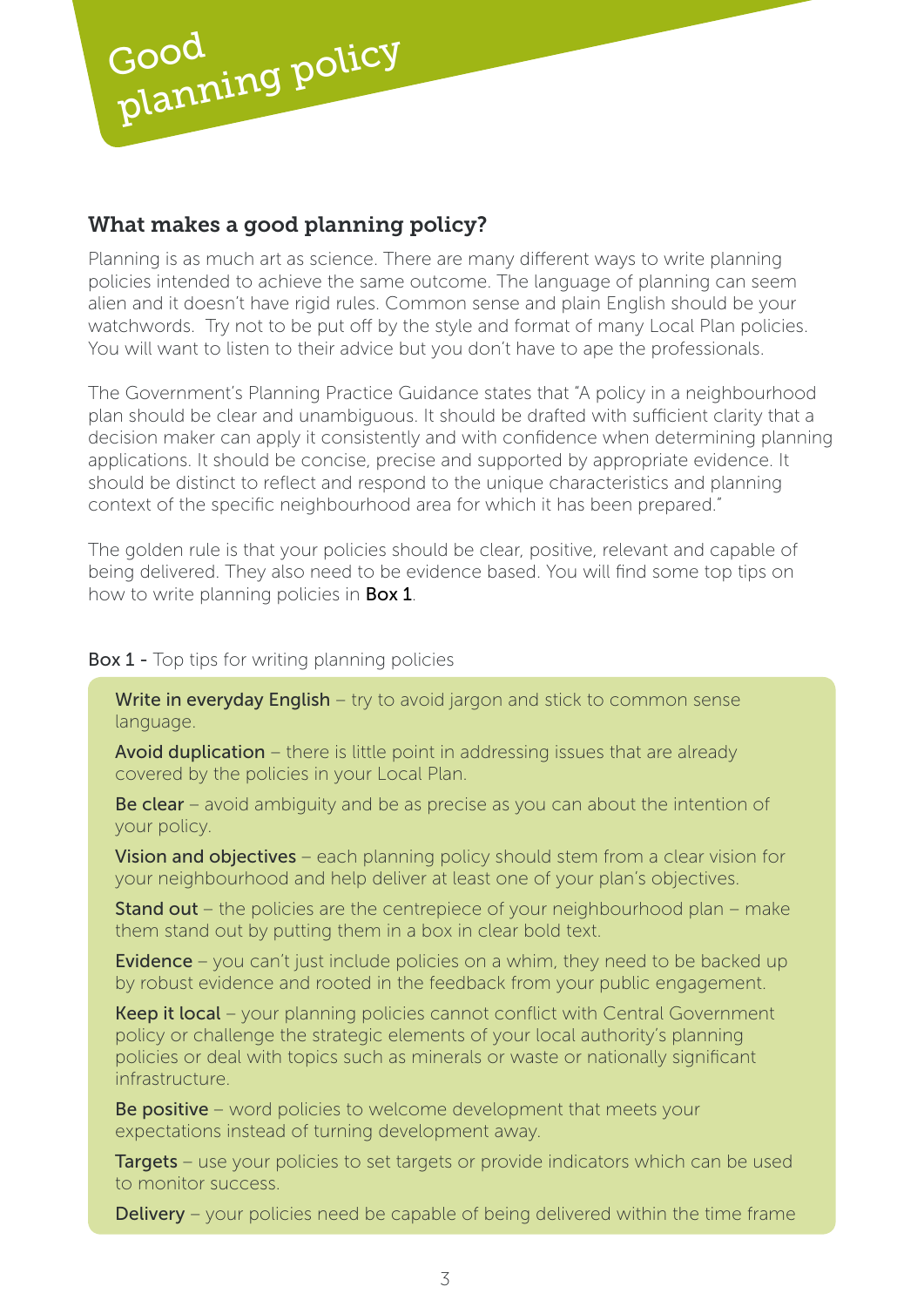Good planning policy

# What makes a good planning policy?

Planning is as much art as science. There are many different ways to write planning policies intended to achieve the same outcome. The language of planning can seem alien and it doesn't have rigid rules. Common sense and plain English should be your watchwords. Try not to be put off by the style and format of many Local Plan policies. You will want to listen to their advice but you don't have to ape the professionals.

The Government's Planning Practice Guidance states that "A policy in a neighbourhood plan should be clear and unambiguous. It should be drafted with sufficient clarity that a decision maker can apply it consistently and with confidence when determining planning applications. It should be concise, precise and supported by appropriate evidence. It should be distinct to reflect and respond to the unique characteristics and planning context of the specific neighbourhood area for which it has been prepared."

The golden rule is that your policies should be clear, positive, relevant and capable of being delivered. They also need to be evidence based. You will find some top tips on how to write planning policies in **Box 1**.

## **Box 1 -** Top tips for writing planning policies

**Write in everyday English** – try to avoid jargon and stick to common sense language.

**Avoid duplication** – there is little point in addressing issues that are already covered by the policies in your Local Plan.

**Be clear** – avoid ambiguity and be as precise as you can about the intention of your policy.

Vision and objectives – each planning policy should stem from a clear vision for your neighbourhood and help deliver at least one of your plan's objectives.

**Stand out** – the policies are the centrepiece of your neighbourhood plan – make them stand out by putting them in a box in clear bold text.

**Evidence** – you can't just include policies on a whim, they need to be backed up by robust evidence and rooted in the feedback from your public engagement.

Keep it local – your planning policies cannot conflict with Central Government policy or challenge the strategic elements of your local authority's planning policies or deal with topics such as minerals or waste or nationally significant infrastructure.

Be positive – word policies to welcome development that meets your expectations instead of turning development away.

**Targets** – use your policies to set targets or provide indicators which can be used to monitor success.

**Delivery** – your policies need be capable of being delivered within the time frame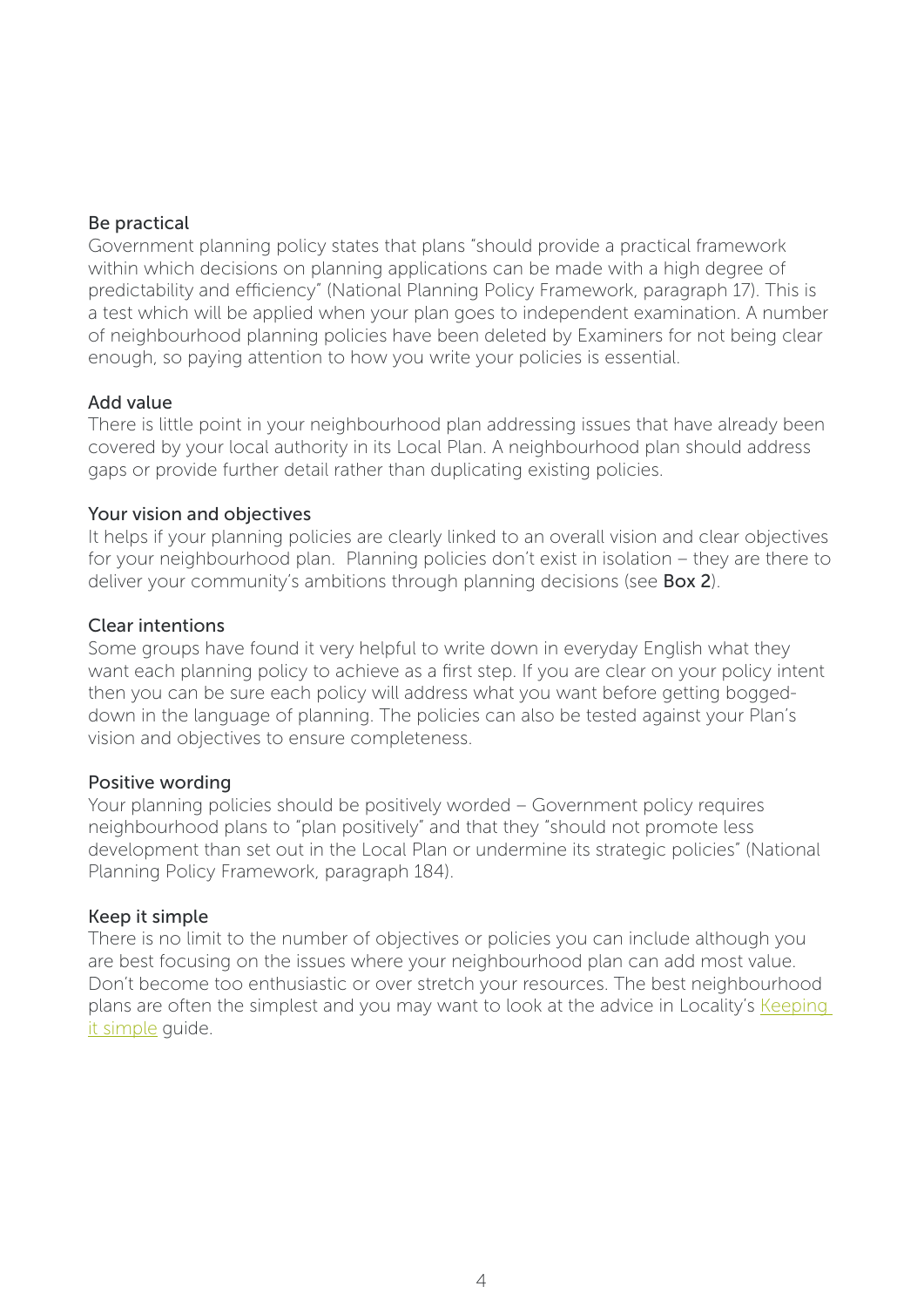#### Be practical

Government planning policy states that plans "should provide a practical framework within which decisions on planning applications can be made with a high degree of predictability and efficiency" (National Planning Policy Framework, paragraph 17). This is a test which will be applied when your plan goes to independent examination. A number of neighbourhood planning policies have been deleted by Examiners for not being clear enough, so paying attention to how you write your policies is essential.

#### Add value

There is little point in your neighbourhood plan addressing issues that have already been covered by your local authority in its Local Plan. A neighbourhood plan should address gaps or provide further detail rather than duplicating existing policies.

#### Your vision and objectives

It helps if your planning policies are clearly linked to an overall vision and clear objectives for your neighbourhood plan. Planning policies don't exist in isolation – they are there to deliver your community's ambitions through planning decisions (see **Box 2**).

#### Clear intentions

Some groups have found it very helpful to write down in everyday English what they want each planning policy to achieve as a first step. If you are clear on your policy intent then you can be sure each policy will address what you want before getting boggeddown in the language of planning. The policies can also be tested against your Plan's vision and objectives to ensure completeness.

## Positive wording

Your planning policies should be positively worded – Government policy requires neighbourhood plans to "plan positively" and that they "should not promote less development than set out in the Local Plan or undermine its strategic policies" (National Planning Policy Framework, paragraph 184).

#### Keep it simple

There is no limit to the number of objectives or policies you can include although you are best focusing on the issues where your neighbourhood plan can add most value. Don't become too enthusiastic or over stretch your resources. The best neighbourhood plans are often the simplest and you may want to look at the advice in Locality's Keeping [it simple](http://mycommunityrights.org.uk/wp-content/uploads/2012/04/keeping-it-simple-v3.pdf) guide.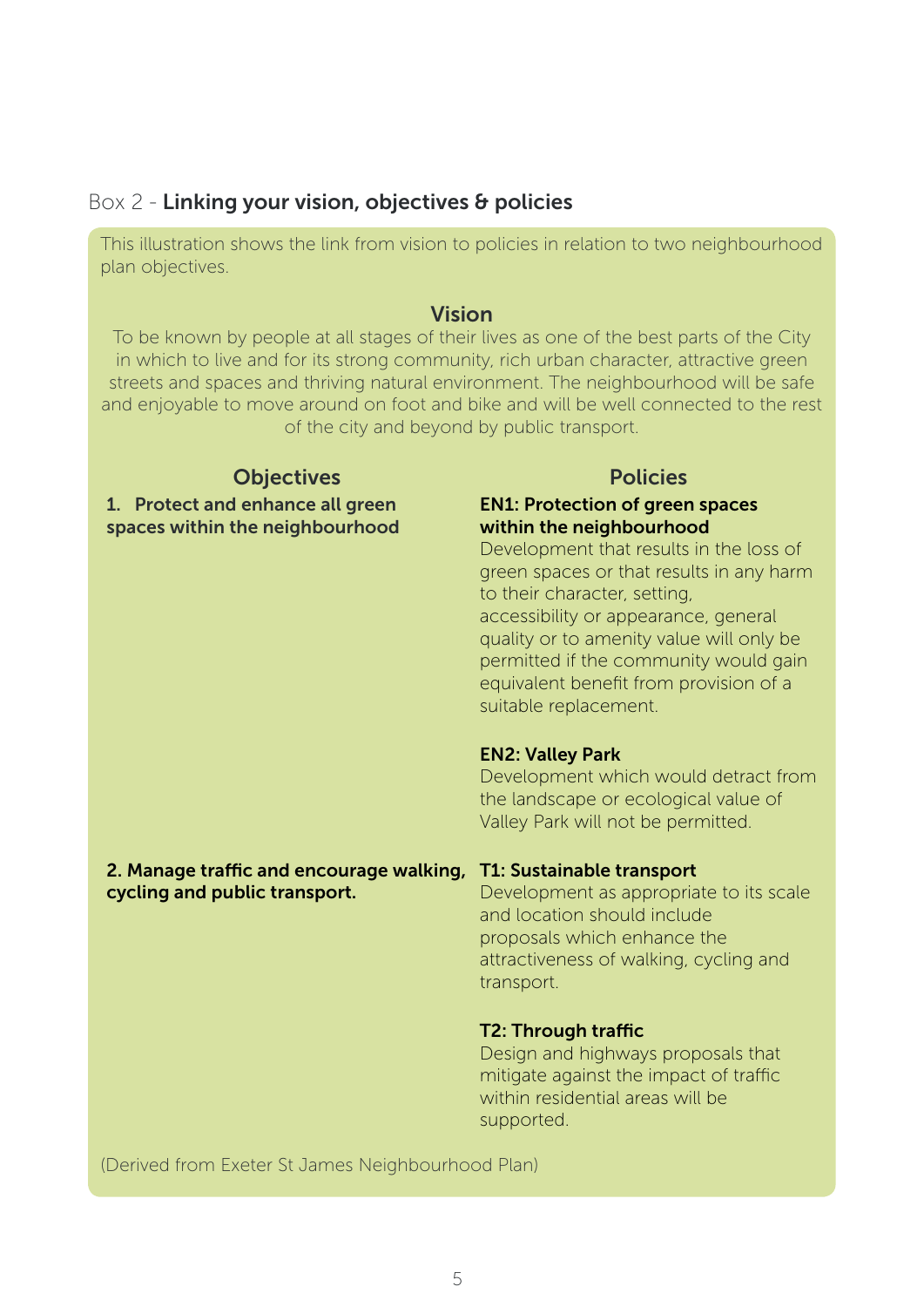## Box 2 - Linking your vision, objectives & policies

This illustration shows the link from vision to policies in relation to two neighbourhood plan objectives.

#### Vision

To be known by people at all stages of their lives as one of the best parts of the City in which to live and for its strong community, rich urban character, attractive green streets and spaces and thriving natural environment. The neighbourhood will be safe and enjoyable to move around on foot and bike and will be well connected to the rest of the city and beyond by public transport.

#### Objectives **Policies** Policies

1. Protect and enhance all green spaces within the neighbourhood

#### EN1: Protection of green spaces within the neighbourhood

Development that results in the loss of green spaces or that results in any harm to their character, setting, accessibility or appearance, general quality or to amenity value will only be permitted if the community would gain equivalent benefit from provision of a suitable replacement.

#### EN2: Valley Park

Development which would detract from the landscape or ecological value of Valley Park will not be permitted.

#### 2. Manage traffic and encourage walking, T1: Sustainable transport cycling and public transport.

Development as appropriate to its scale and location should include proposals which enhance the attractiveness of walking, cycling and transport.

#### T2: Through traffic

Design and highways proposals that mitigate against the impact of traffic within residential areas will be supported.

#### (Derived from Exeter St James Neighbourhood Plan)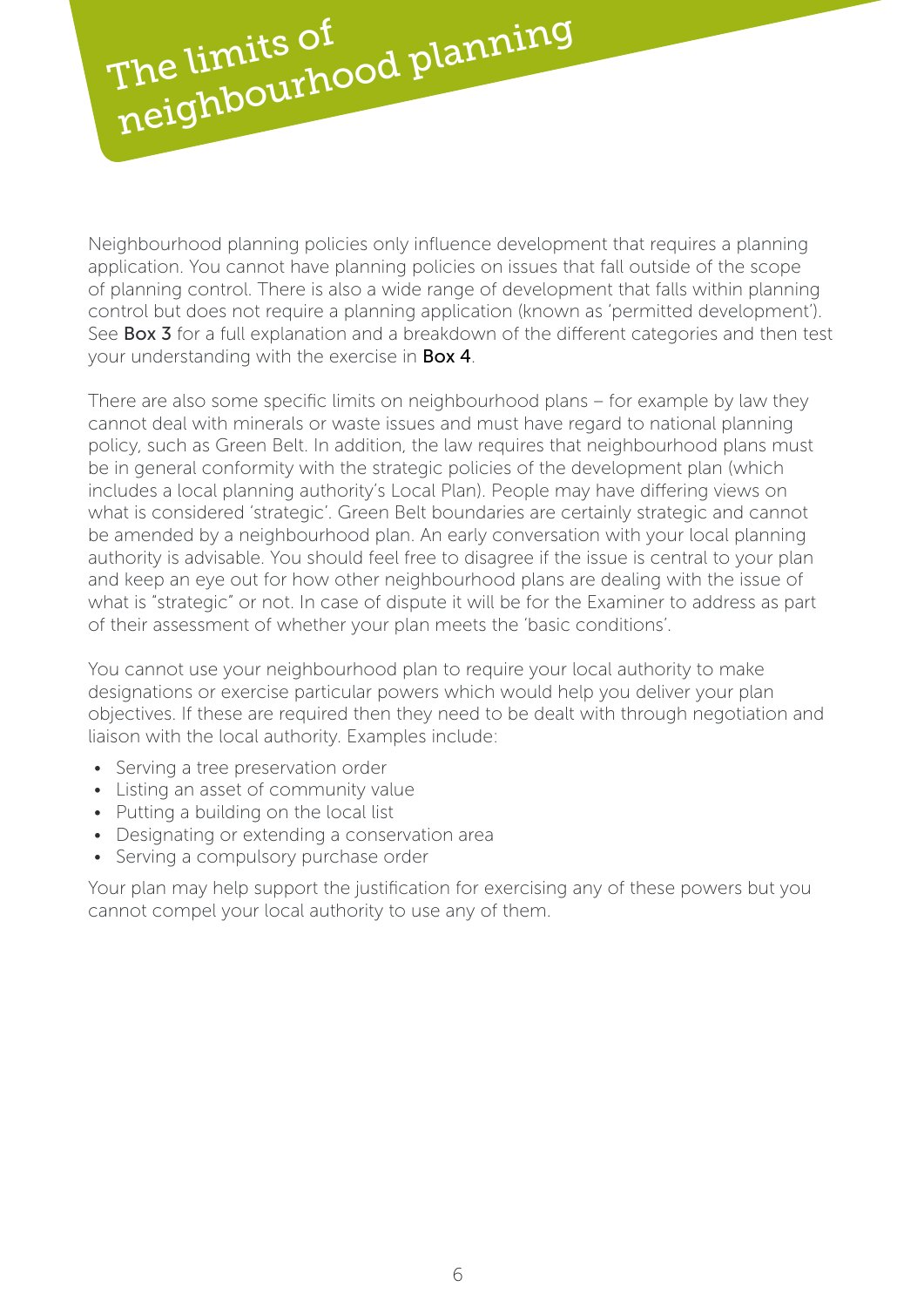The limits of neighbourhood planning

Neighbourhood planning policies only influence development that requires a planning application. You cannot have planning policies on issues that fall outside of the scope of planning control. There is also a wide range of development that falls within planning control but does not require a planning application (known as 'permitted development'). See **Box 3** for a full explanation and a breakdown of the different categories and then test your understanding with the exercise in Box 4.

There are also some specific limits on neighbourhood plans – for example by law they cannot deal with minerals or waste issues and must have regard to national planning policy, such as Green Belt. In addition, the law requires that neighbourhood plans must be in general conformity with the strategic policies of the development plan (which includes a local planning authority's Local Plan). People may have differing views on what is considered 'strategic'. Green Belt boundaries are certainly strategic and cannot be amended by a neighbourhood plan. An early conversation with your local planning authority is advisable. You should feel free to disagree if the issue is central to your plan and keep an eye out for how other neighbourhood plans are dealing with the issue of what is "strategic" or not. In case of dispute it will be for the Examiner to address as part of their assessment of whether your plan meets the 'basic conditions'.

You cannot use your neighbourhood plan to require your local authority to make designations or exercise particular powers which would help you deliver your plan objectives. If these are required then they need to be dealt with through negotiation and liaison with the local authority. Examples include:

- Serving a tree preservation order
- • Listing an asset of community value
- Putting a building on the local list
- Designating or extending a conservation area
- Serving a compulsory purchase order

Your plan may help support the justification for exercising any of these powers but you cannot compel your local authority to use any of them.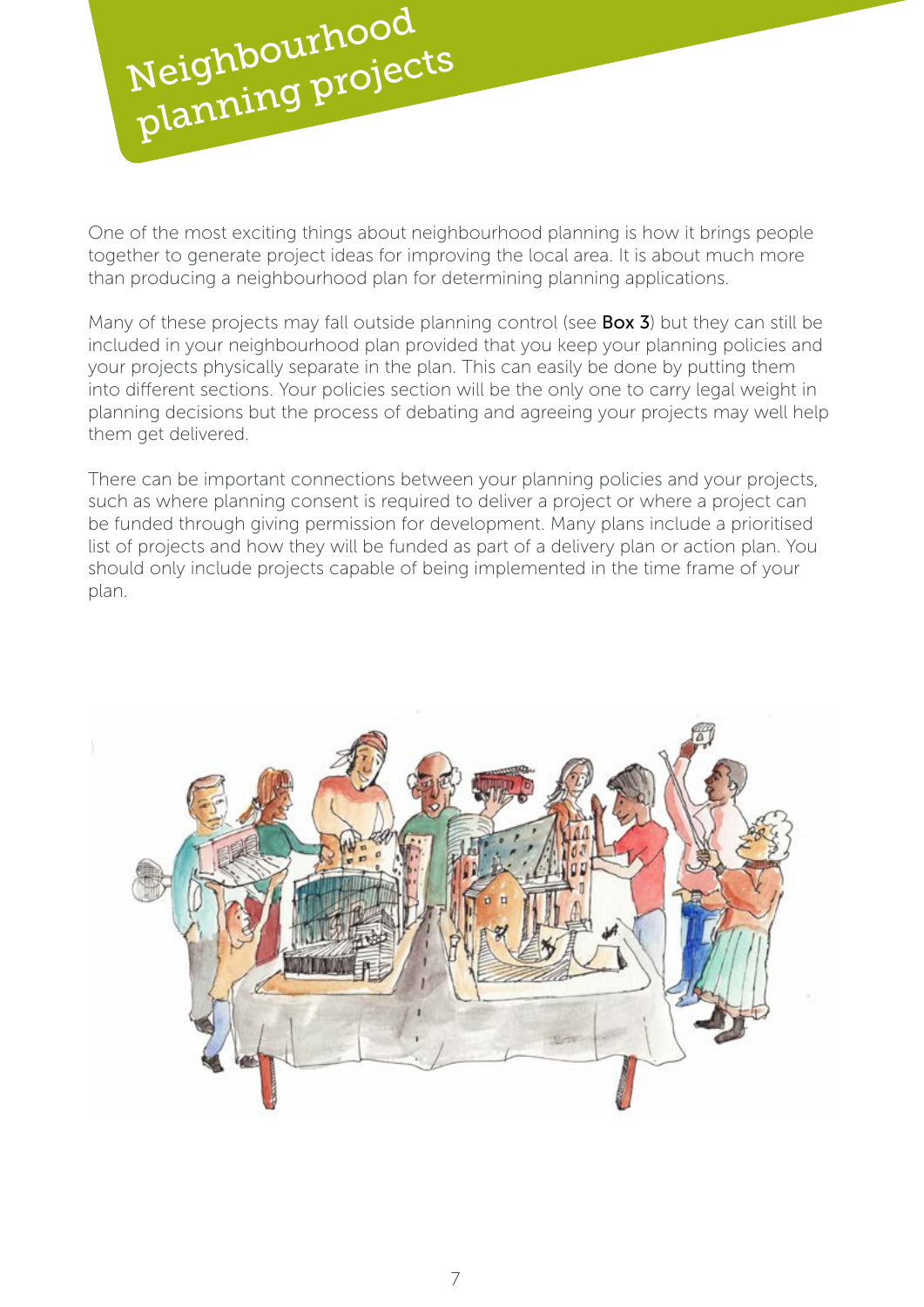

One of the most exciting things about neighbourhood planning is how it brings people together to generate project ideas for improving the local area. It is about much more than producing a neighbourhood plan for determining planning applications.

Many of these projects may fall outside planning control (see **Box 3**) but they can still be included in your neighbourhood plan provided that you keep your planning policies and your projects physically separate in the plan. This can easily be done by putting them into different sections. Your policies section will be the only one to carry legal weight in planning decisions but the process of debating and agreeing your projects may well help them get delivered.

There can be important connections between your planning policies and your projects, such as where planning consent is required to deliver a project or where a project can be funded through giving permission for development. Many plans include a prioritised list of projects and how they will be funded as part of a delivery plan or action plan. You should only include projects capable of being implemented in the time frame of your plan.

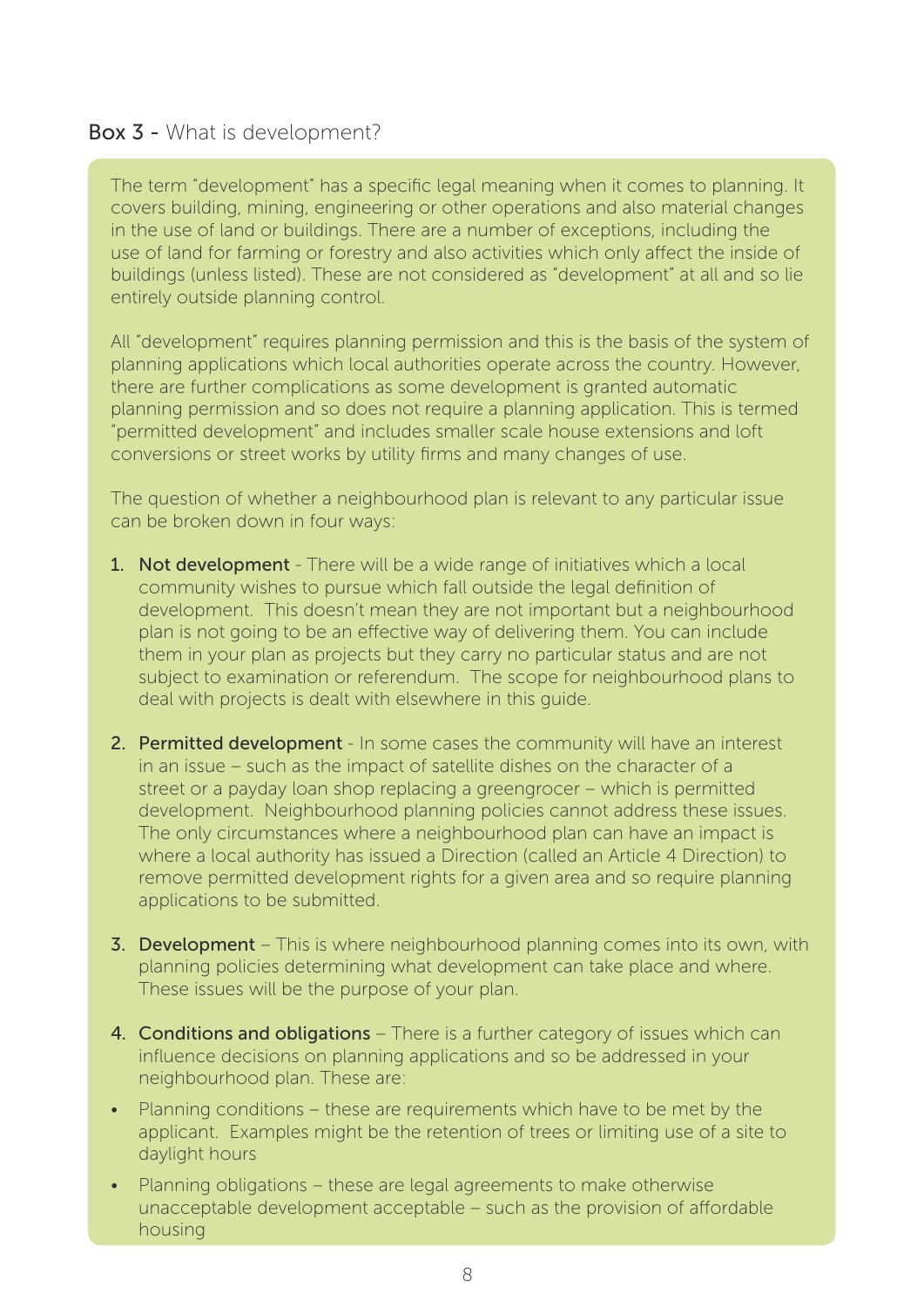# Box 3 - What is development?

The term "development" has a specific legal meaning when it comes to planning. It covers building, mining, engineering or other operations and also material changes in the use of land or buildings. There are a number of exceptions, including the use of land for farming or forestry and also activities which only affect the inside of buildings (unless listed). These are not considered as "development" at all and so lie entirely outside planning control.

All "development" requires planning permission and this is the basis of the system of planning applications which local authorities operate across the country. However, there are further complications as some development is granted automatic planning permission and so does not require a planning application. This is termed "permitted development" and includes smaller scale house extensions and loft conversions or street works by utility firms and many changes of use.

The question of whether a neighbourhood plan is relevant to any particular issue can be broken down in four ways:

- 1. Not development There will be a wide range of initiatives which a local community wishes to pursue which fall outside the legal definition of development. This doesn't mean they are not important but a neighbourhood plan is not going to be an effective way of delivering them. You can include them in your plan as projects but they carry no particular status and are not subject to examination or referendum. The scope for neighbourhood plans to deal with projects is dealt with elsewhere in this guide.
- 2. Permitted development In some cases the community will have an interest in an issue – such as the impact of satellite dishes on the character of a street or a payday loan shop replacing a greengrocer – which is permitted development. Neighbourhood planning policies cannot address these issues. The only circumstances where a neighbourhood plan can have an impact is where a local authority has issued a Direction (called an Article 4 Direction) to remove permitted development rights for a given area and so require planning applications to be submitted.
- 3. Development This is where neighbourhood planning comes into its own, with planning policies determining what development can take place and where. These issues will be the purpose of your plan.
- 4. Conditions and obligations There is a further category of issues which can influence decisions on planning applications and so be addressed in your neighbourhood plan. These are:
- Planning conditions these are requirements which have to be met by the applicant. Examples might be the retention of trees or limiting use of a site to daylight hours
- Planning obligations these are legal agreements to make otherwise unacceptable development acceptable – such as the provision of affordable housing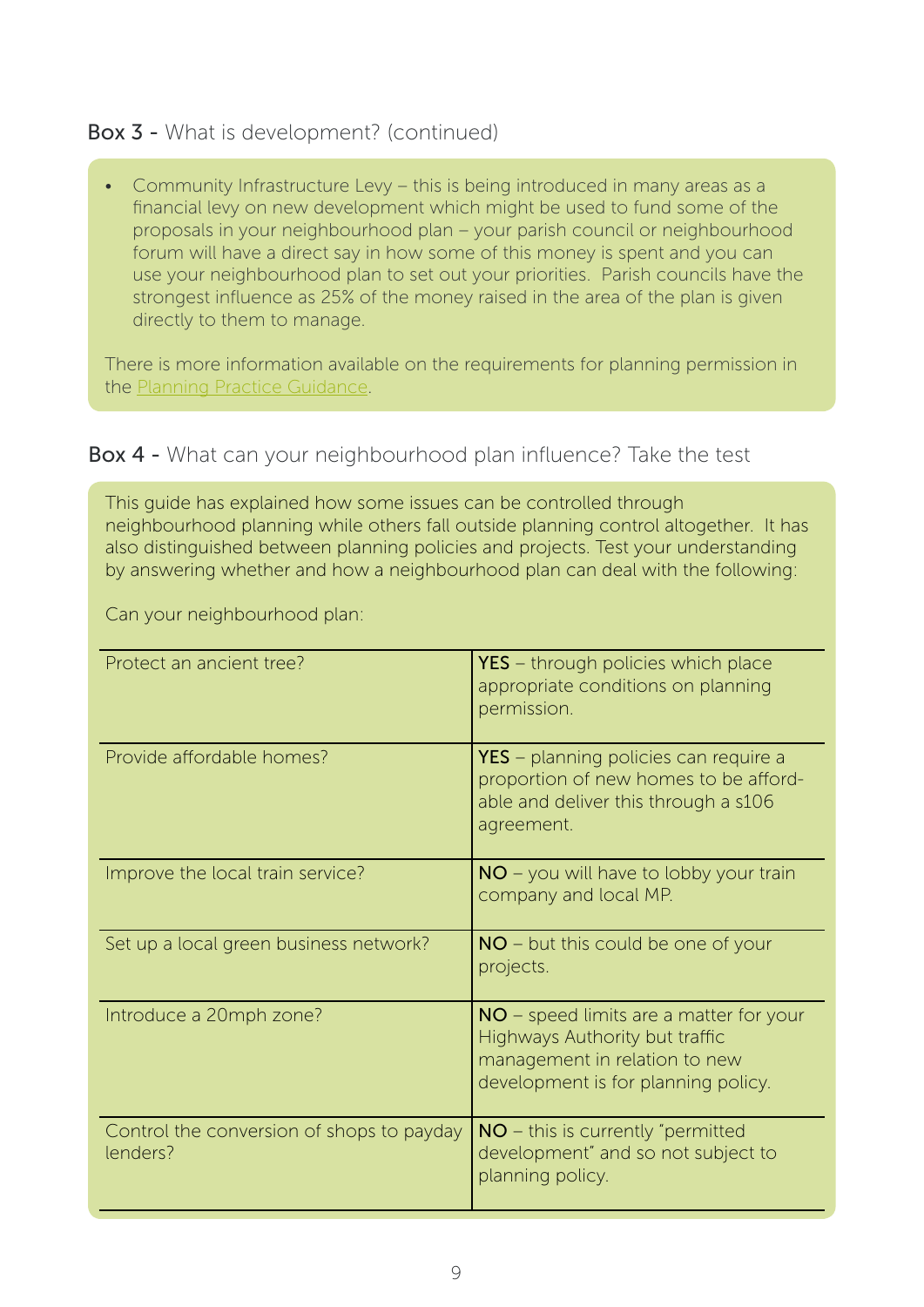# Box 3 - What is development? (continued)

Community Infrastructure Levy – this is being introduced in many areas as a financial levy on new development which might be used to fund some of the proposals in your neighbourhood plan – your parish council or neighbourhood forum will have a direct say in how some of this money is spent and you can use your neighbourhood plan to set out your priorities. Parish councils have the strongest influence as 25% of the money raised in the area of the plan is given directly to them to manage.

There is more information available on the requirements for planning permission in the [Planning Practice Guidance](http://planningguidance.planningportal.gov.uk/blog/guidance/when-is-permission-required/).

# Box 4 - What can your neighbourhood plan influence? Take the test

This guide has explained how some issues can be controlled through neighbourhood planning while others fall outside planning control altogether. It has also distinguished between planning policies and projects. Test your understanding by answering whether and how a neighbourhood plan can deal with the following:

Can your neighbourhood plan:

| Protect an ancient tree?                              | <b>YES</b> - through policies which place<br>appropriate conditions on planning<br>permission.                                                                  |
|-------------------------------------------------------|-----------------------------------------------------------------------------------------------------------------------------------------------------------------|
| Provide affordable homes?                             | <b>YES</b> – planning policies can require a<br>proportion of new homes to be afford-<br>able and deliver this through a s106<br>agreement.                     |
| Improve the local train service?                      | $NO -$ you will have to lobby your train<br>company and local MP.                                                                                               |
| Set up a local green business network?                | $NO - but this could be one of your$<br>projects.                                                                                                               |
| Introduce a 20mph zone?                               | <b>NO</b> – speed limits are a matter for your<br><b>Highways Authority but traffic</b><br>management in relation to new<br>development is for planning policy. |
| Control the conversion of shops to payday<br>lenders? | $NO - this$ is currently "permitted<br>development" and so not subject to<br>planning policy.                                                                   |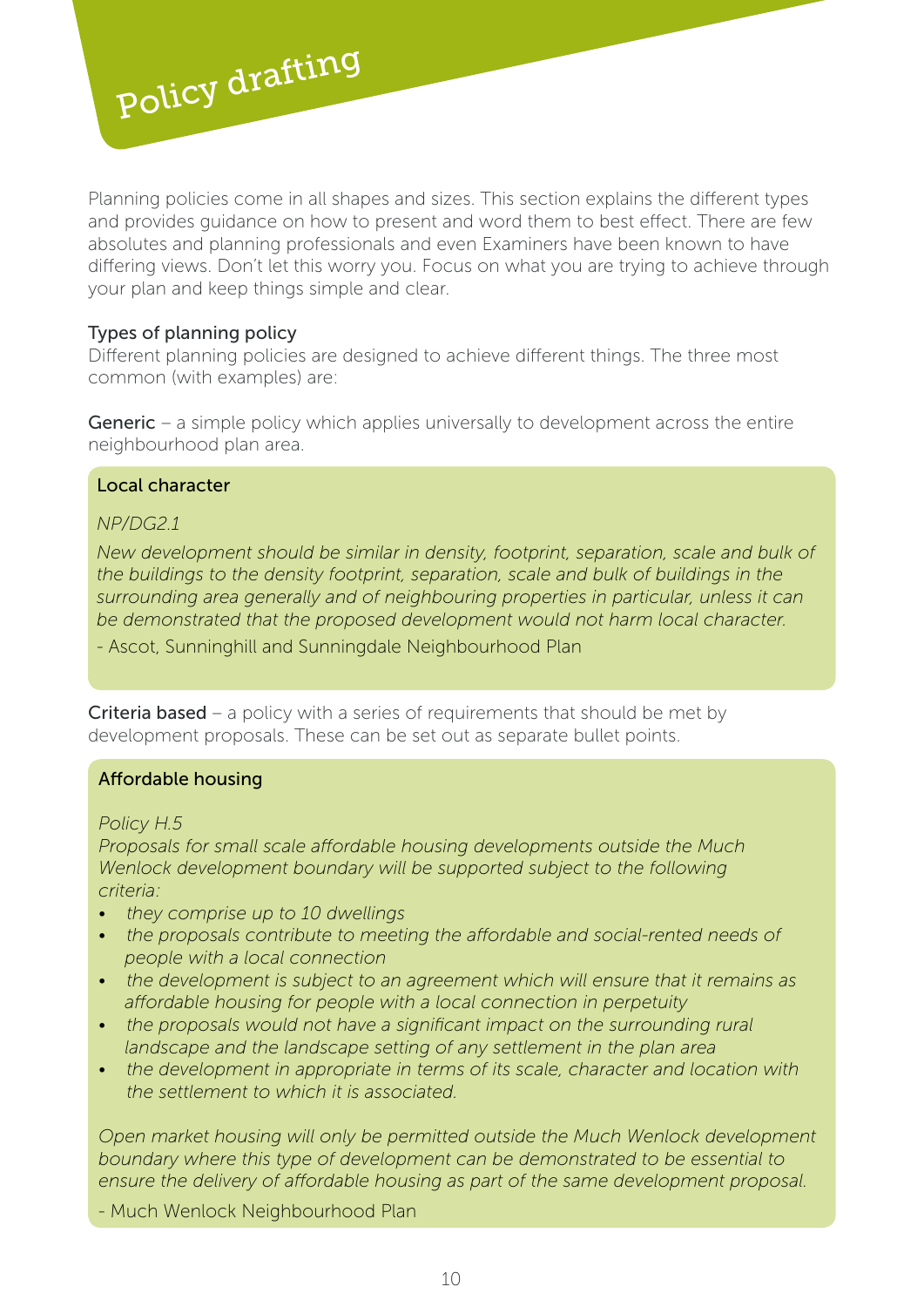

Planning policies come in all shapes and sizes. This section explains the different types and provides guidance on how to present and word them to best effect. There are few absolutes and planning professionals and even Examiners have been known to have differing views. Don't let this worry you. Focus on what you are trying to achieve through your plan and keep things simple and clear.

#### Types of planning policy

Different planning policies are designed to achieve different things. The three most common (with examples) are:

Generic – a simple policy which applies universally to development across the entire neighbourhood plan area.

#### Local character

#### *NP/DG2.1*

*New development should be similar in density, footprint, separation, scale and bulk of the buildings to the density footprint, separation, scale and bulk of buildings in the surrounding area generally and of neighbouring properties in particular, unless it can be demonstrated that the proposed development would not harm local character.*

- Ascot, Sunninghill and Sunningdale Neighbourhood Plan

**Criteria based** – a policy with a series of requirements that should be met by development proposals. These can be set out as separate bullet points.

#### Affordable housing

#### *Policy H.5*

*Proposals for small scale affordable housing developments outside the Much Wenlock development boundary will be supported subject to the following criteria:* 

- *• they comprise up to 10 dwellings*
- *• the proposals contribute to meeting the affordable and social-rented needs of people with a local connection*
- the development is subject to an agreement which will ensure that it remains as  *affordable housing for people with a local connection in perpetuity*
- the proposals would not have a significant impact on the surrounding rural  *landscape and the landscape setting of any settlement in the plan area*
- the development in appropriate in terms of its scale, character and location with *the settlement to which it is associated.*

*Open market housing will only be permitted outside the Much Wenlock development*  boundary where this type of development can be demonstrated to be essential to *ensure the delivery of affordable housing as part of the same development proposal.* 

- Much Wenlock Neighbourhood Plan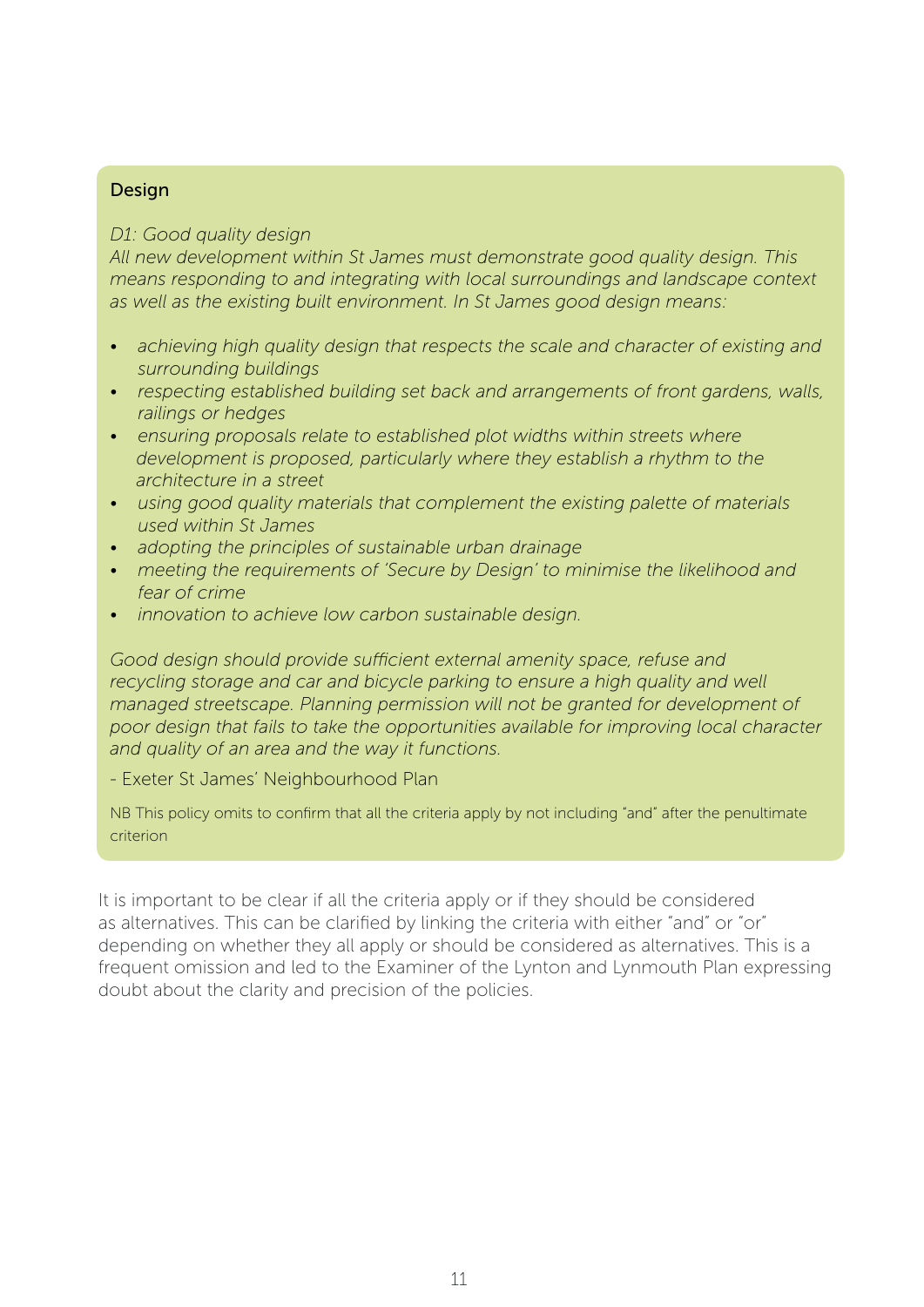#### Design

#### *D1: Good quality design*

*All new development within St James must demonstrate good quality design. This means responding to and integrating with local surroundings and landscape context as well as the existing built environment. In St James good design means:*

- achieving high quality design that respects the scale and character of existing and *surrounding buildings*
- *• respecting established building set back and arrangements of front gardens, walls, railings or hedges*
- *• ensuring proposals relate to established plot widths within streets where development is proposed, particularly where they establish a rhythm to the architecture in a street*
- *• using good quality materials that complement the existing palette of materials used within St James*
- *• adopting the principles of sustainable urban drainage*
- *• meeting the requirements of 'Secure by Design' to minimise the likelihood and fear of crime*
- *• innovation to achieve low carbon sustainable design.*

*Good design should provide sufficient external amenity space, refuse and recycling storage and car and bicycle parking to ensure a high quality and well managed streetscape. Planning permission will not be granted for development of poor design that fails to take the opportunities available for improving local character and quality of an area and the way it functions.*

- Exeter St James' Neighbourhood Plan

NB This policy omits to confirm that all the criteria apply by not including "and" after the penultimate criterion

It is important to be clear if all the criteria apply or if they should be considered as alternatives. This can be clarified by linking the criteria with either "and" or "or" depending on whether they all apply or should be considered as alternatives. This is a frequent omission and led to the Examiner of the Lynton and Lynmouth Plan expressing doubt about the clarity and precision of the policies.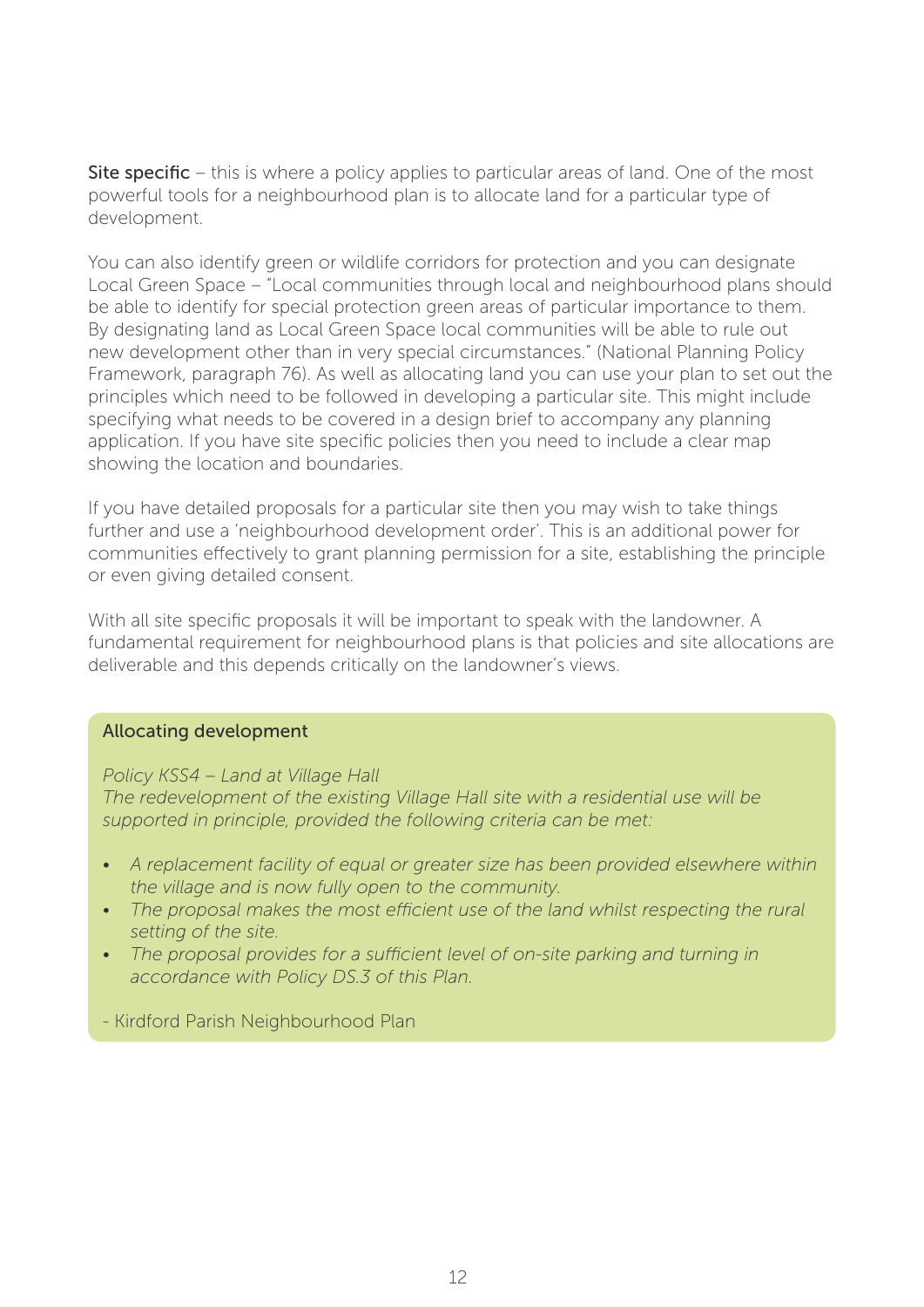**Site specific** – this is where a policy applies to particular areas of land. One of the most powerful tools for a neighbourhood plan is to allocate land for a particular type of development.

You can also identify green or wildlife corridors for protection and you can designate Local Green Space – "Local communities through local and neighbourhood plans should be able to identify for special protection green areas of particular importance to them. By designating land as Local Green Space local communities will be able to rule out new development other than in very special circumstances." (National Planning Policy Framework, paragraph 76). As well as allocating land you can use your plan to set out the principles which need to be followed in developing a particular site. This might include specifying what needs to be covered in a design brief to accompany any planning application. If you have site specific policies then you need to include a clear map showing the location and boundaries.

If you have detailed proposals for a particular site then you may wish to take things further and use a 'neighbourhood development order'. This is an additional power for communities effectively to grant planning permission for a site, establishing the principle or even giving detailed consent.

With all site specific proposals it will be important to speak with the landowner. A fundamental requirement for neighbourhood plans is that policies and site allocations are deliverable and this depends critically on the landowner's views.

#### Allocating development

*Policy KSS4 – Land at Village Hall* 

*The redevelopment of the existing Village Hall site with a residential use will be supported in principle, provided the following criteria can be met:* 

- *• A replacement facility of equal or greater size has been provided elsewhere within the village and is now fully open to the community.*
- *• The proposal makes the most efficient use of the land whilst respecting the rural setting of the site.*
- *• The proposal provides for a sufficient level of on-site parking and turning in accordance with Policy DS.3 of this Plan.*
- Kirdford Parish Neighbourhood Plan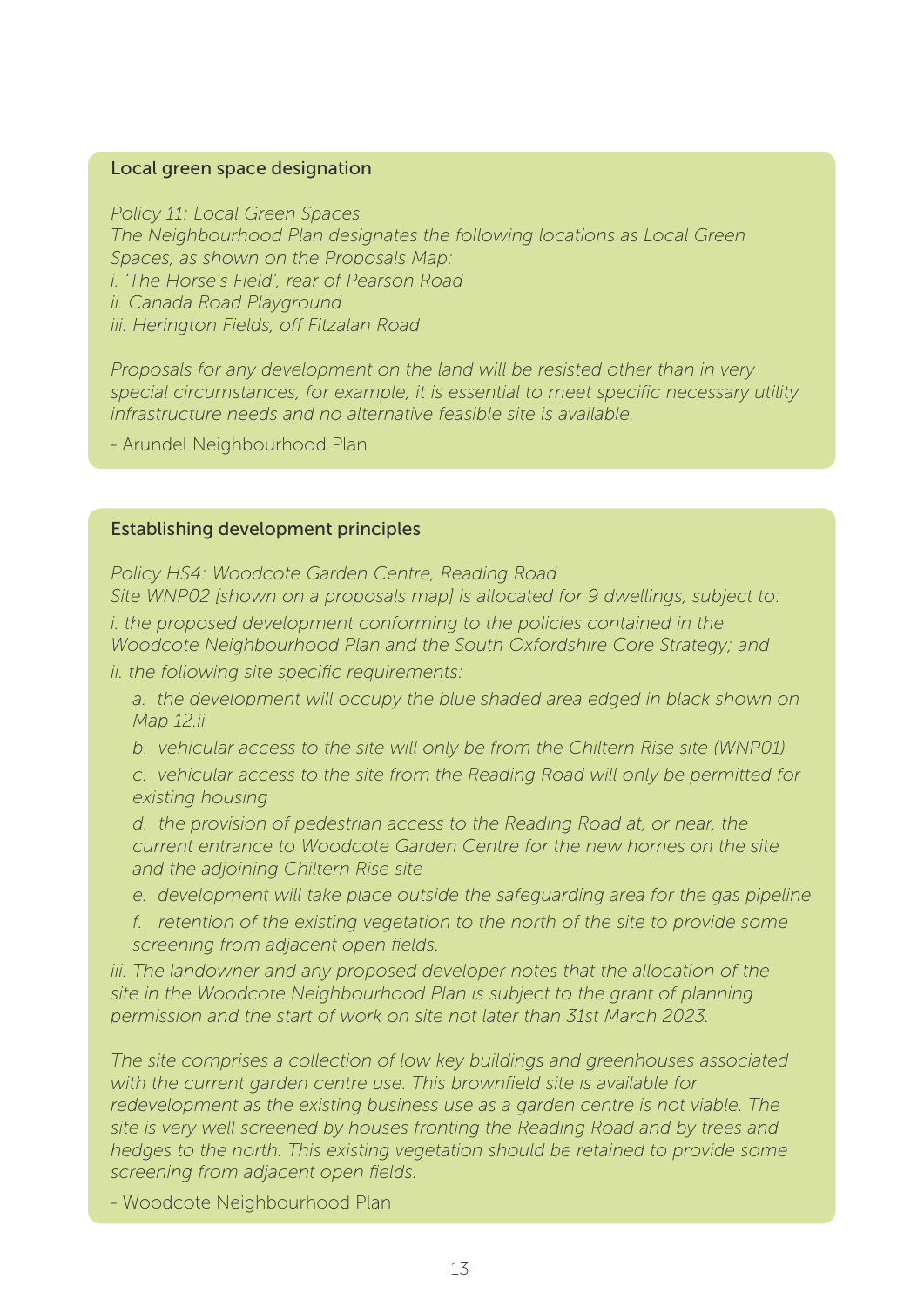#### Local green space designation

*Policy 11: Local Green Spaces The Neighbourhood Plan designates the following locations as Local Green Spaces, as shown on the Proposals Map: i. 'The Horse's Field', rear of Pearson Road ii. Canada Road Playground iii. Herington Fields, off Fitzalan Road* 

*Proposals for any development on the land will be resisted other than in very special circumstances, for example, it is essential to meet specific necessary utility infrastructure needs and no alternative feasible site is available.*

- Arundel Neighbourhood Plan

#### Establishing development principles

*Policy HS4: Woodcote Garden Centre, Reading Road Site WNP02 [shown on a proposals map] is allocated for 9 dwellings, subject to: i. the proposed development conforming to the policies contained in the* 

*Woodcote Neighbourhood Plan and the South Oxfordshire Core Strategy; and ii. the following site specific requirements:*

a. the development will occupy the blue shaded area edged in black shown on *Map 12.ii*

*b. vehicular access to the site will only be from the Chiltern Rise site (WNP01)*

*c. vehicular access to the site from the Reading Road will only be permitted for existing housing*

*d. the provision of pedestrian access to the Reading Road at, or near, the current entrance to Woodcote Garden Centre for the new homes on the site and the adjoining Chiltern Rise site*

*e. development will take place outside the safeguarding area for the gas pipeline*

*f. retention of the existing vegetation to the north of the site to provide some screening from adjacent open fields.*

*iii. The landowner and any proposed developer notes that the allocation of the site in the Woodcote Neighbourhood Plan is subject to the grant of planning permission and the start of work on site not later than 31st March 2023.*

*The site comprises a collection of low key buildings and greenhouses associated with the current garden centre use. This brownfield site is available for redevelopment as the existing business use as a garden centre is not viable. The site is very well screened by houses fronting the Reading Road and by trees and hedges to the north. This existing vegetation should be retained to provide some screening from adjacent open fields.*

- Woodcote Neighbourhood Plan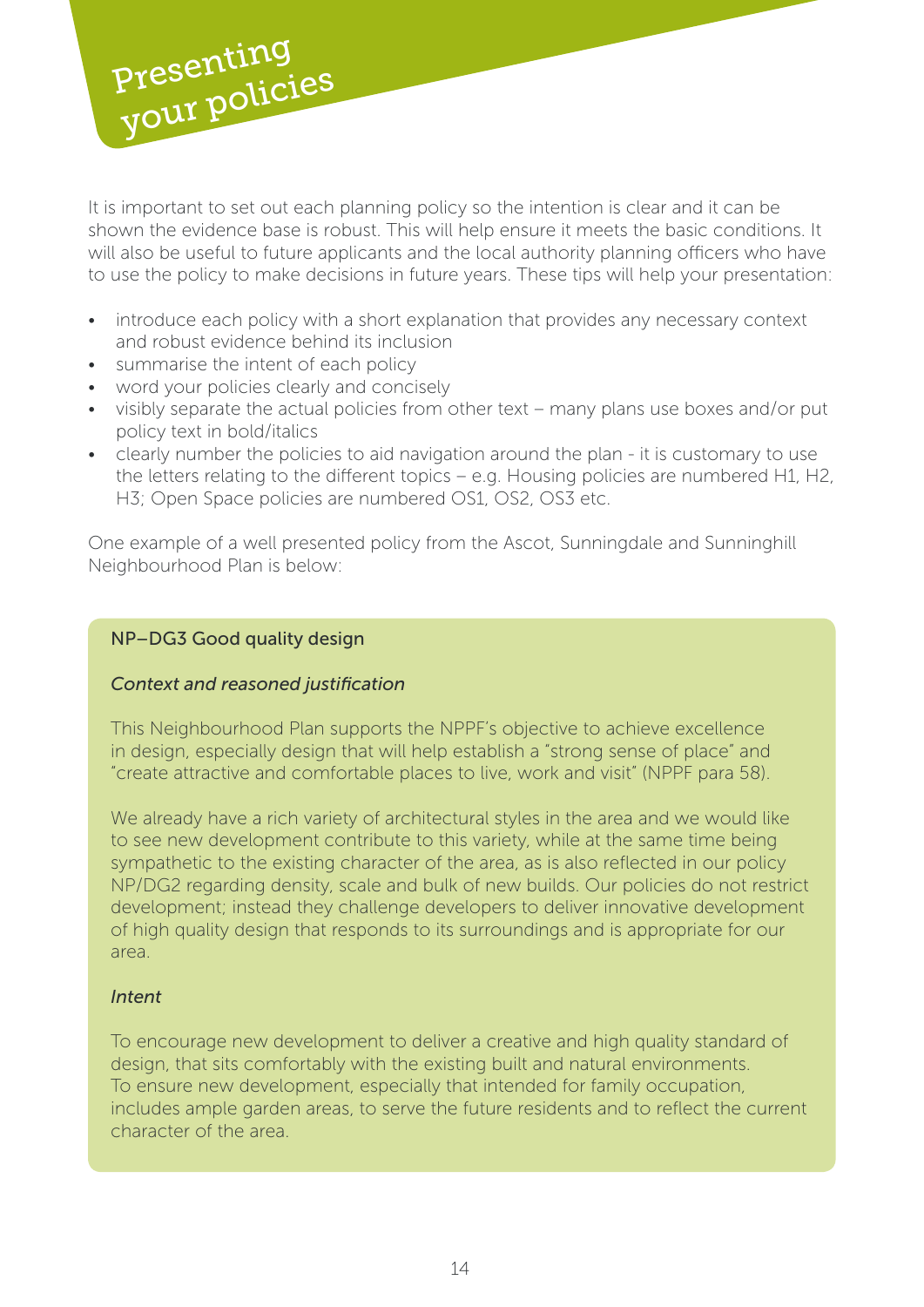

It is important to set out each planning policy so the intention is clear and it can be shown the evidence base is robust. This will help ensure it meets the basic conditions. It will also be useful to future applicants and the local authority planning officers who have to use the policy to make decisions in future years. These tips will help your presentation:

- introduce each policy with a short explanation that provides any necessary context and robust evidence behind its inclusion
- summarise the intent of each policy
- word your policies clearly and concisely
- visibly separate the actual policies from other text many plans use boxes and/or put policy text in bold/italics
- clearly number the policies to aid navigation around the plan it is customary to use the letters relating to the different topics – e.g. Housing policies are numbered H1, H2, H3; Open Space policies are numbered OS1, OS2, OS3 etc.

One example of a well presented policy from the Ascot, Sunningdale and Sunninghill Neighbourhood Plan is below:

#### NP–DG3 Good quality design

#### *Context and reasoned justification*

This Neighbourhood Plan supports the NPPF's objective to achieve excellence in design, especially design that will help establish a "strong sense of place" and "create attractive and comfortable places to live, work and visit" (NPPF para 58).

We already have a rich variety of architectural styles in the area and we would like to see new development contribute to this variety, while at the same time being sympathetic to the existing character of the area, as is also reflected in our policy NP/DG2 regarding density, scale and bulk of new builds. Our policies do not restrict development; instead they challenge developers to deliver innovative development of high quality design that responds to its surroundings and is appropriate for our area.

#### *Intent*

To encourage new development to deliver a creative and high quality standard of design, that sits comfortably with the existing built and natural environments. To ensure new development, especially that intended for family occupation, includes ample garden areas, to serve the future residents and to reflect the current character of the area.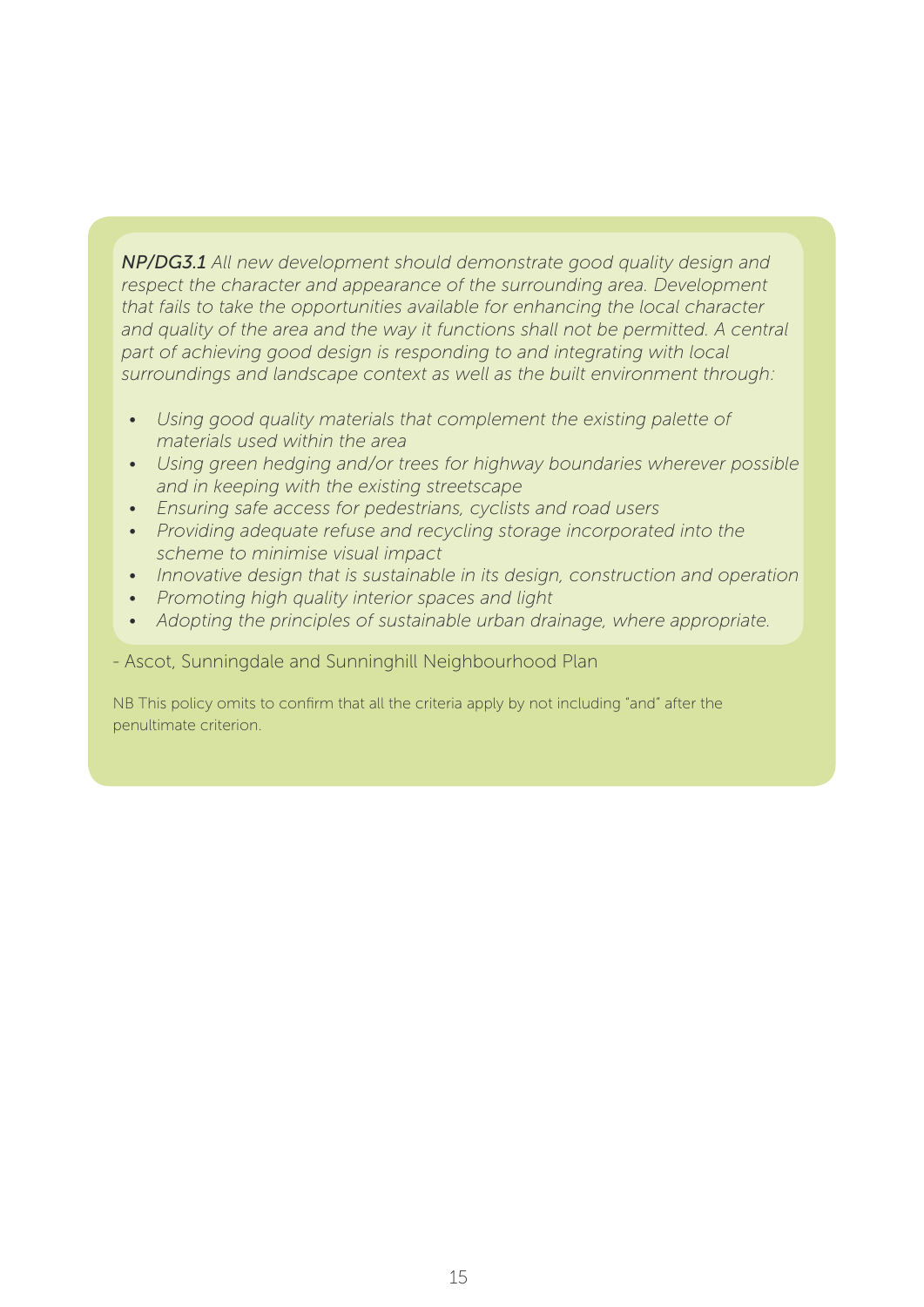*NP/DG3.1 All new development should demonstrate good quality design and respect the character and appearance of the surrounding area. Development that fails to take the opportunities available for enhancing the local character*  and quality of the area and the way it functions shall not be permitted. A central *part of achieving good design is responding to and integrating with local surroundings and landscape context as well as the built environment through:* 

- *• Using good quality materials that complement the existing palette of materials used within the area*
- *• Using green hedging and/or trees for highway boundaries wherever possible and in keeping with the existing streetscape*
- *• Ensuring safe access for pedestrians, cyclists and road users*
- *• Providing adequate refuse and recycling storage incorporated into the scheme to minimise visual impact*
- Innovative design that is sustainable in its design, construction and operation
- *• Promoting high quality interior spaces and light*
- *• Adopting the principles of sustainable urban drainage, where appropriate.*

#### - Ascot, Sunningdale and Sunninghill Neighbourhood Plan

NB This policy omits to confirm that all the criteria apply by not including "and" after the penultimate criterion.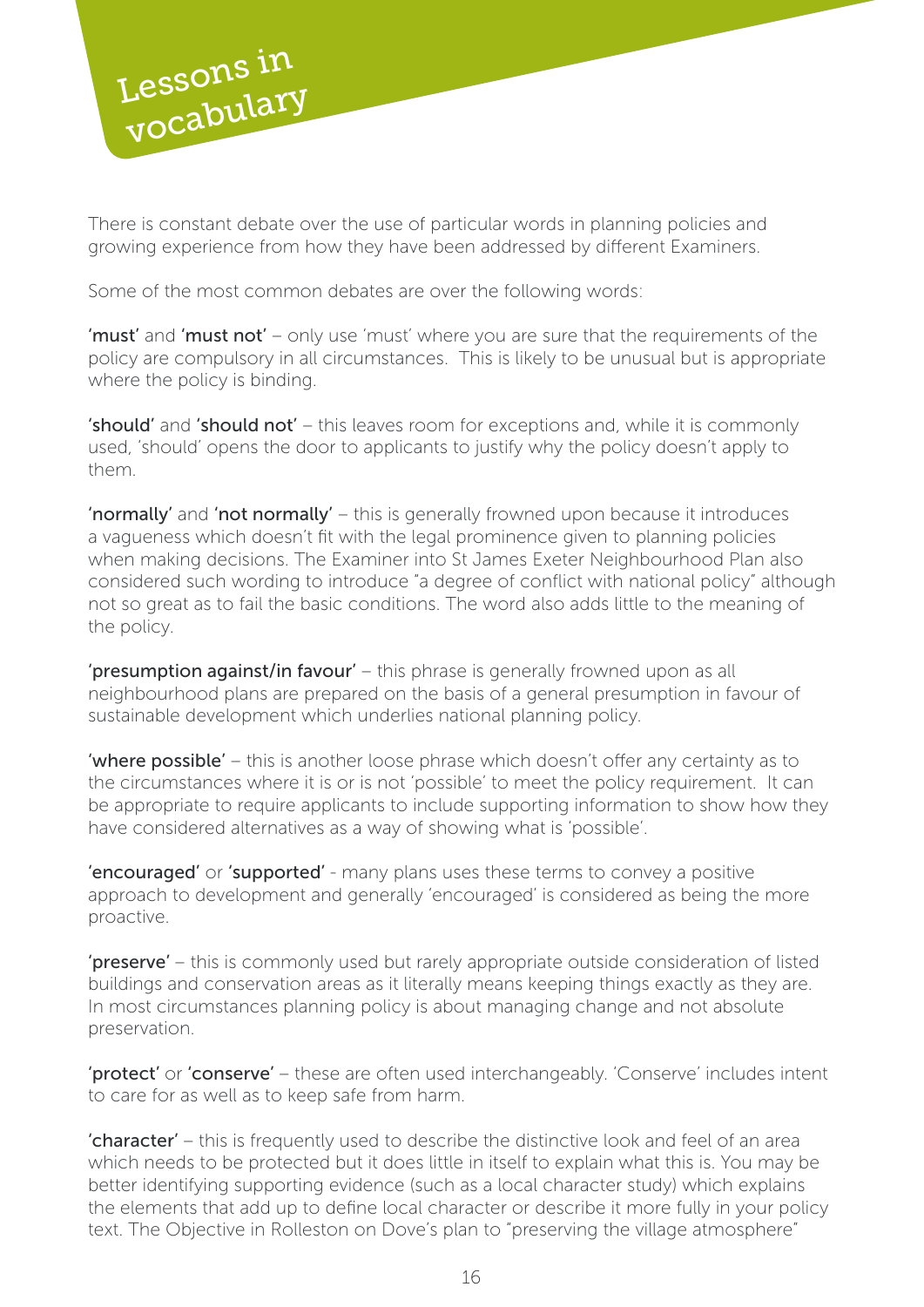

There is constant debate over the use of particular words in planning policies and growing experience from how they have been addressed by different Examiners.

Some of the most common debates are over the following words:

'must' and 'must not' – only use 'must' where you are sure that the requirements of the policy are compulsory in all circumstances. This is likely to be unusual but is appropriate where the policy is binding.

'should' and 'should not' – this leaves room for exceptions and, while it is commonly used, 'should' opens the door to applicants to justify why the policy doesn't apply to them.

'normally' and 'not normally' – this is generally frowned upon because it introduces a vagueness which doesn't fit with the legal prominence given to planning policies when making decisions. The Examiner into St James Exeter Neighbourhood Plan also considered such wording to introduce "a degree of conflict with national policy" although not so great as to fail the basic conditions. The word also adds little to the meaning of the policy.

'presumption against/in favour' – this phrase is generally frowned upon as all neighbourhood plans are prepared on the basis of a general presumption in favour of sustainable development which underlies national planning policy.

'where possible' – this is another loose phrase which doesn't offer any certainty as to the circumstances where it is or is not 'possible' to meet the policy requirement. It can be appropriate to require applicants to include supporting information to show how they have considered alternatives as a way of showing what is 'possible'.

'encouraged' or 'supported' - many plans uses these terms to convey a positive approach to development and generally 'encouraged' is considered as being the more proactive.

'preserve' – this is commonly used but rarely appropriate outside consideration of listed buildings and conservation areas as it literally means keeping things exactly as they are. In most circumstances planning policy is about managing change and not absolute preservation.

'protect' or 'conserve' - these are often used interchangeably. 'Conserve' includes intent to care for as well as to keep safe from harm.

'character' – this is frequently used to describe the distinctive look and feel of an area which needs to be protected but it does little in itself to explain what this is. You may be better identifying supporting evidence (such as a local character study) which explains the elements that add up to define local character or describe it more fully in your policy text. The Objective in Rolleston on Dove's plan to "preserving the village atmosphere"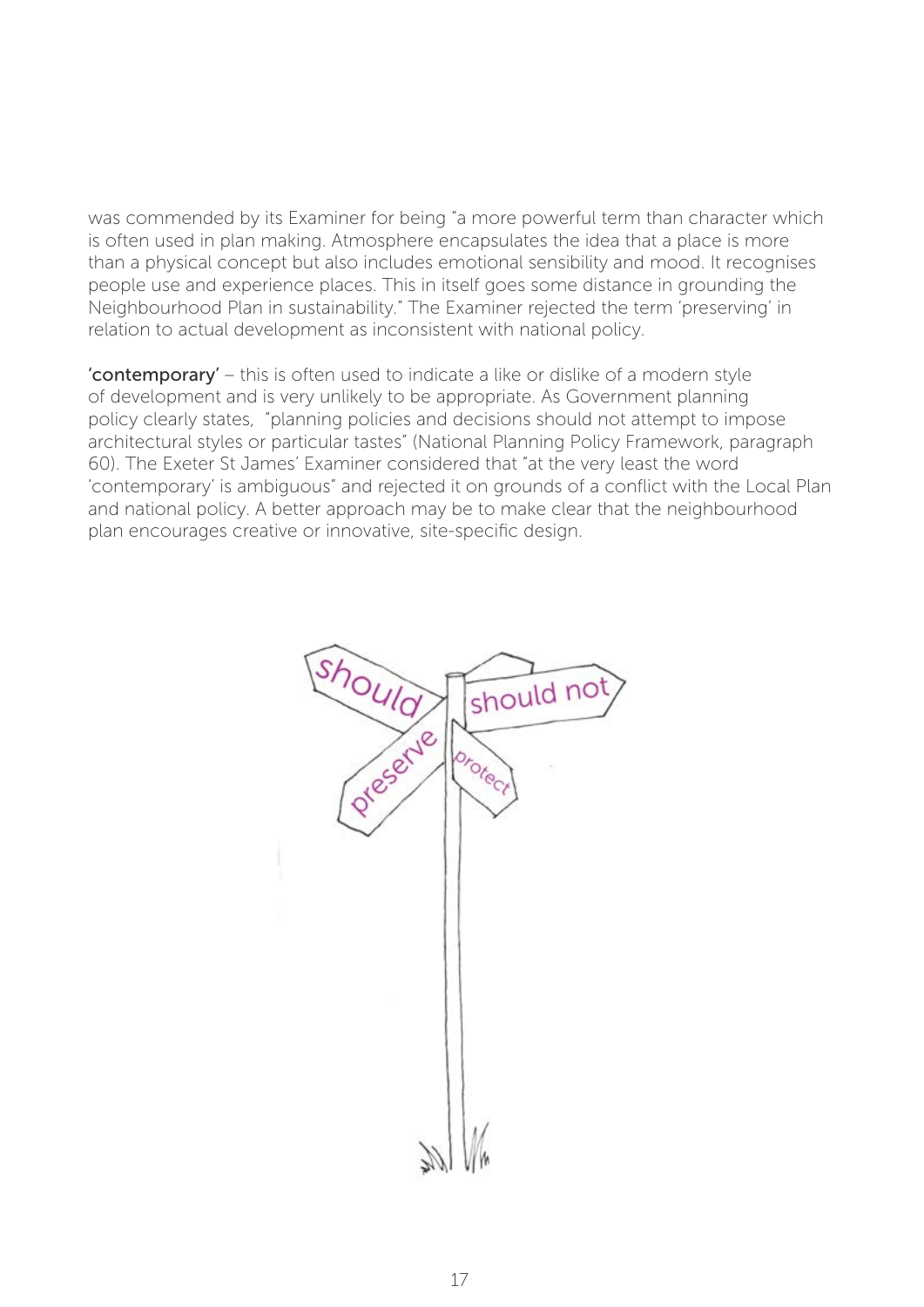was commended by its Examiner for being "a more powerful term than character which is often used in plan making. Atmosphere encapsulates the idea that a place is more than a physical concept but also includes emotional sensibility and mood. It recognises people use and experience places. This in itself goes some distance in grounding the Neighbourhood Plan in sustainability." The Examiner rejected the term 'preserving' in relation to actual development as inconsistent with national policy.

'contemporary' – this is often used to indicate a like or dislike of a modern style of development and is very unlikely to be appropriate. As Government planning policy clearly states, "planning policies and decisions should not attempt to impose architectural styles or particular tastes" (National Planning Policy Framework, paragraph 60). The Exeter St James' Examiner considered that "at the very least the word 'contemporary' is ambiguous" and rejected it on grounds of a conflict with the Local Plan and national policy. A better approach may be to make clear that the neighbourhood plan encourages creative or innovative, site-specific design.

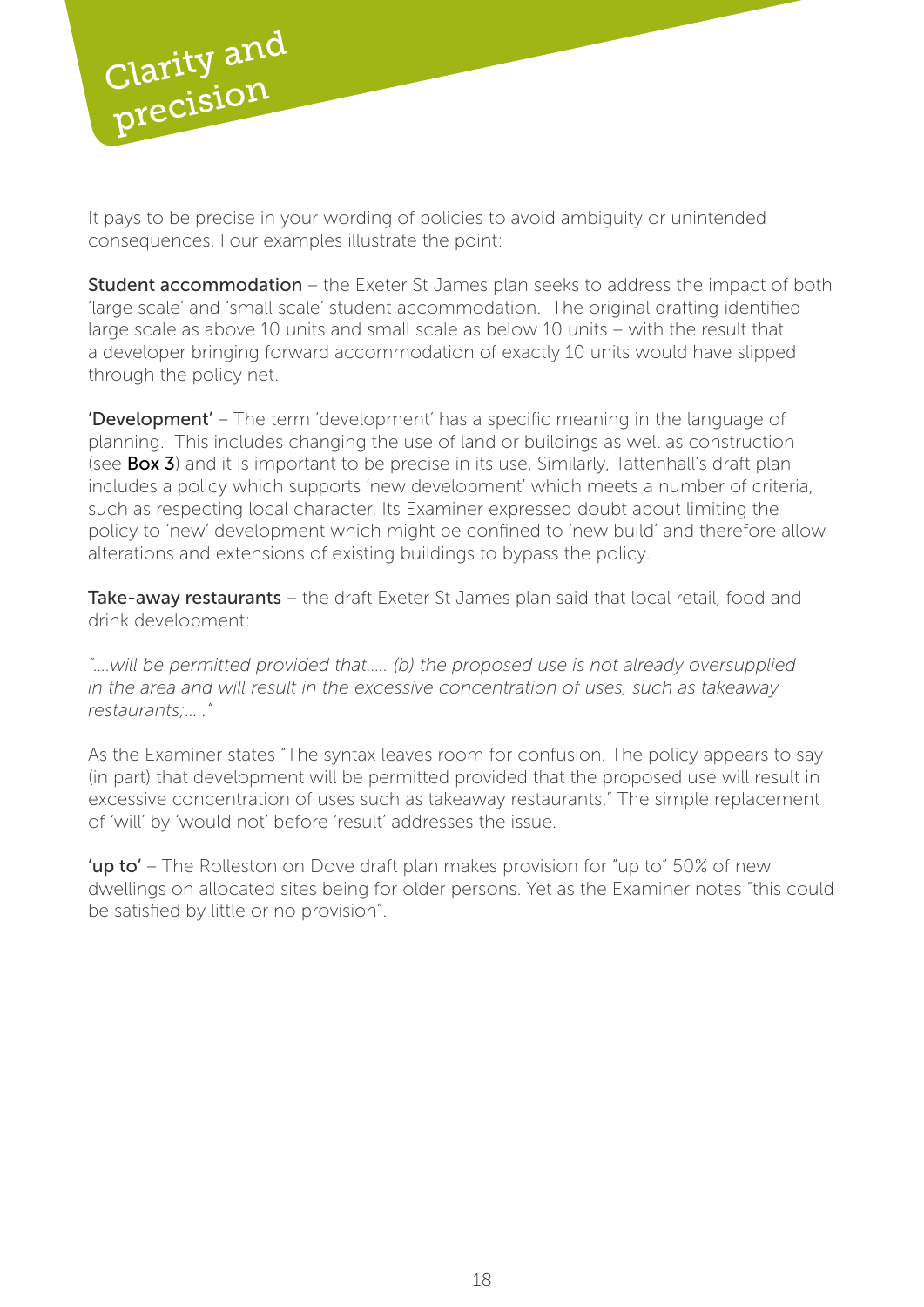

It pays to be precise in your wording of policies to avoid ambiguity or unintended consequences. Four examples illustrate the point:

**Student accommodation** – the Exeter St James plan seeks to address the impact of both 'large scale' and 'small scale' student accommodation. The original drafting identified large scale as above 10 units and small scale as below 10 units – with the result that a developer bringing forward accommodation of exactly 10 units would have slipped through the policy net.

'Development' – The term 'development' has a specific meaning in the language of planning. This includes changing the use of land or buildings as well as construction (see Box 3) and it is important to be precise in its use. Similarly, Tattenhall's draft plan includes a policy which supports 'new development' which meets a number of criteria, such as respecting local character. Its Examiner expressed doubt about limiting the policy to 'new' development which might be confined to 'new build' and therefore allow alterations and extensions of existing buildings to bypass the policy.

Take-away restaurants – the draft Exeter St James plan said that local retail, food and drink development:

*"….will be permitted provided that.…. (b) the proposed use is not already oversupplied in the area and will result in the excessive concentration of uses, such as takeaway restaurants;….."*

As the Examiner states "The syntax leaves room for confusion. The policy appears to say (in part) that development will be permitted provided that the proposed use will result in excessive concentration of uses such as takeaway restaurants." The simple replacement of 'will' by 'would not' before 'result' addresses the issue.

'up to' – The Rolleston on Dove draft plan makes provision for "up to" 50% of new dwellings on allocated sites being for older persons. Yet as the Examiner notes "this could be satisfied by little or no provision".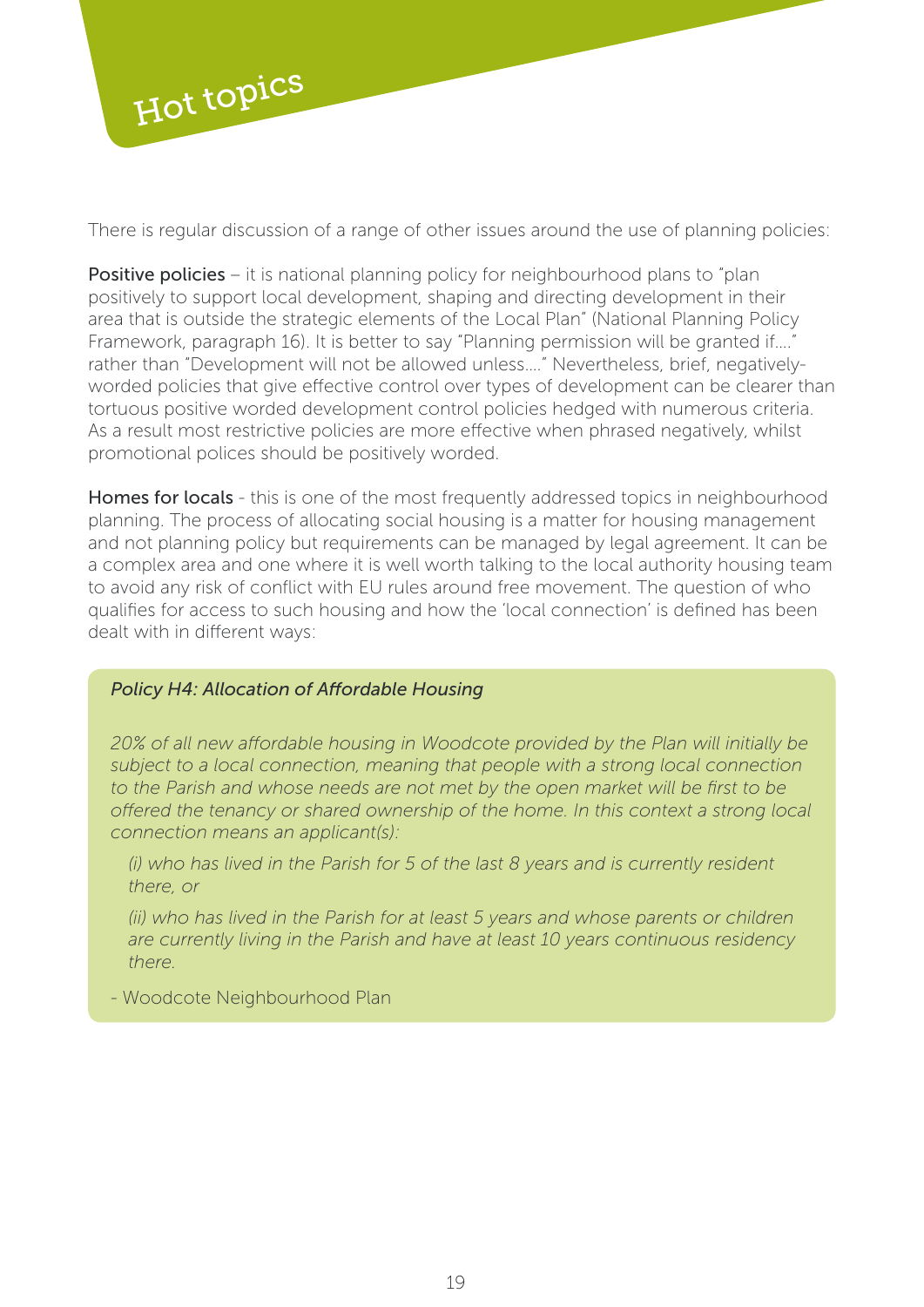

There is regular discussion of a range of other issues around the use of planning policies:

**Positive policies** – it is national planning policy for neighbourhood plans to "plan positively to support local development, shaping and directing development in their area that is outside the strategic elements of the Local Plan" (National Planning Policy Framework, paragraph 16). It is better to say "Planning permission will be granted if…." rather than "Development will not be allowed unless…." Nevertheless, brief, negativelyworded policies that give effective control over types of development can be clearer than tortuous positive worded development control policies hedged with numerous criteria. As a result most restrictive policies are more effective when phrased negatively, whilst promotional polices should be positively worded.

Homes for locals - this is one of the most frequently addressed topics in neighbourhood planning. The process of allocating social housing is a matter for housing management and not planning policy but requirements can be managed by legal agreement. It can be a complex area and one where it is well worth talking to the local authority housing team to avoid any risk of conflict with EU rules around free movement. The question of who qualifies for access to such housing and how the 'local connection' is defined has been dealt with in different ways:

#### *Policy H4: Allocation of Affordable Housing*

*20% of all new affordable housing in Woodcote provided by the Plan will initially be subject to a local connection, meaning that people with a strong local connection*  to the Parish and whose needs are not met by the open market will be first to be *offered the tenancy or shared ownership of the home. In this context a strong local connection means an applicant(s):* 

*(i) who has lived in the Parish for 5 of the last 8 years and is currently resident there, or* 

*(ii) who has lived in the Parish for at least 5 years and whose parents or children are currently living in the Parish and have at least 10 years continuous residency there.* 

- Woodcote Neighbourhood Plan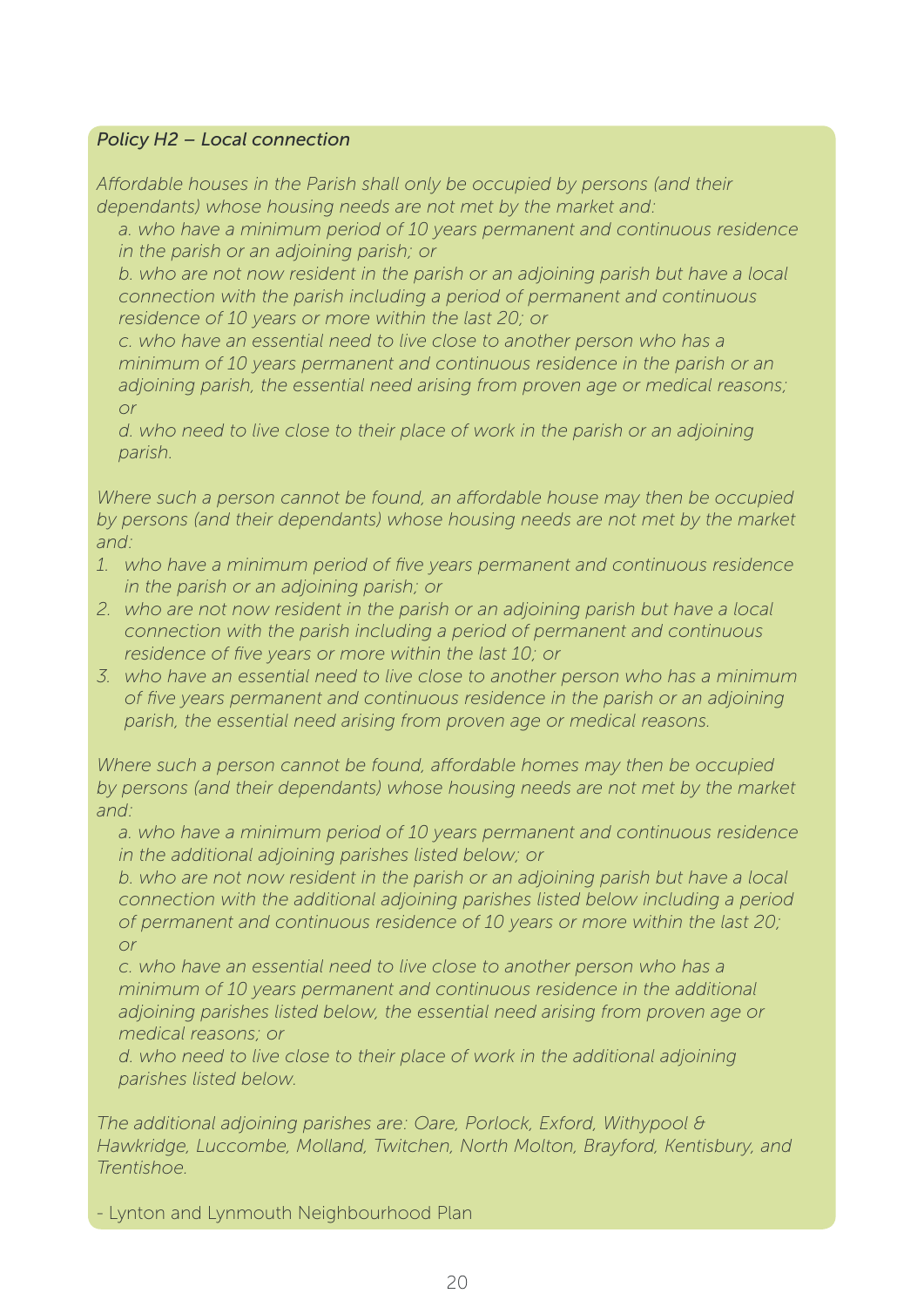#### *Policy H2 – Local connection*

*Affordable houses in the Parish shall only be occupied by persons (and their dependants) whose housing needs are not met by the market and:*

*a. who have a minimum period of 10 years permanent and continuous residence in the parish or an adjoining parish; or*

*b. who are not now resident in the parish or an adjoining parish but have a local connection with the parish including a period of permanent and continuous residence of 10 years or more within the last 20; or*

*c. who have an essential need to live close to another person who has a minimum of 10 years permanent and continuous residence in the parish or an adjoining parish, the essential need arising from proven age or medical reasons; or*

*d. who need to live close to their place of work in the parish or an adjoining parish.*

*Where such a person cannot be found, an affordable house may then be occupied by persons (and their dependants) whose housing needs are not met by the market and:*

- *1. who have a minimum period of five years permanent and continuous residence in the parish or an adjoining parish; or*
- *2. who are not now resident in the parish or an adjoining parish but have a local connection with the parish including a period of permanent and continuous residence of five years or more within the last 10; or*
- *3. who have an essential need to live close to another person who has a minimum of five years permanent and continuous residence in the parish or an adjoining parish, the essential need arising from proven age or medical reasons.*

*Where such a person cannot be found, affordable homes may then be occupied by persons (and their dependants) whose housing needs are not met by the market and:*

*a. who have a minimum period of 10 years permanent and continuous residence in the additional adjoining parishes listed below; or*

*b. who are not now resident in the parish or an adjoining parish but have a local connection with the additional adjoining parishes listed below including a period of permanent and continuous residence of 10 years or more within the last 20; or*

*c. who have an essential need to live close to another person who has a minimum of 10 years permanent and continuous residence in the additional adjoining parishes listed below, the essential need arising from proven age or medical reasons; or*

*d. who need to live close to their place of work in the additional adjoining parishes listed below.*

*The additional adjoining parishes are: Oare, Porlock, Exford, Withypool & Hawkridge, Luccombe, Molland, Twitchen, North Molton, Brayford, Kentisbury, and Trentishoe.*

- Lynton and Lynmouth Neighbourhood Plan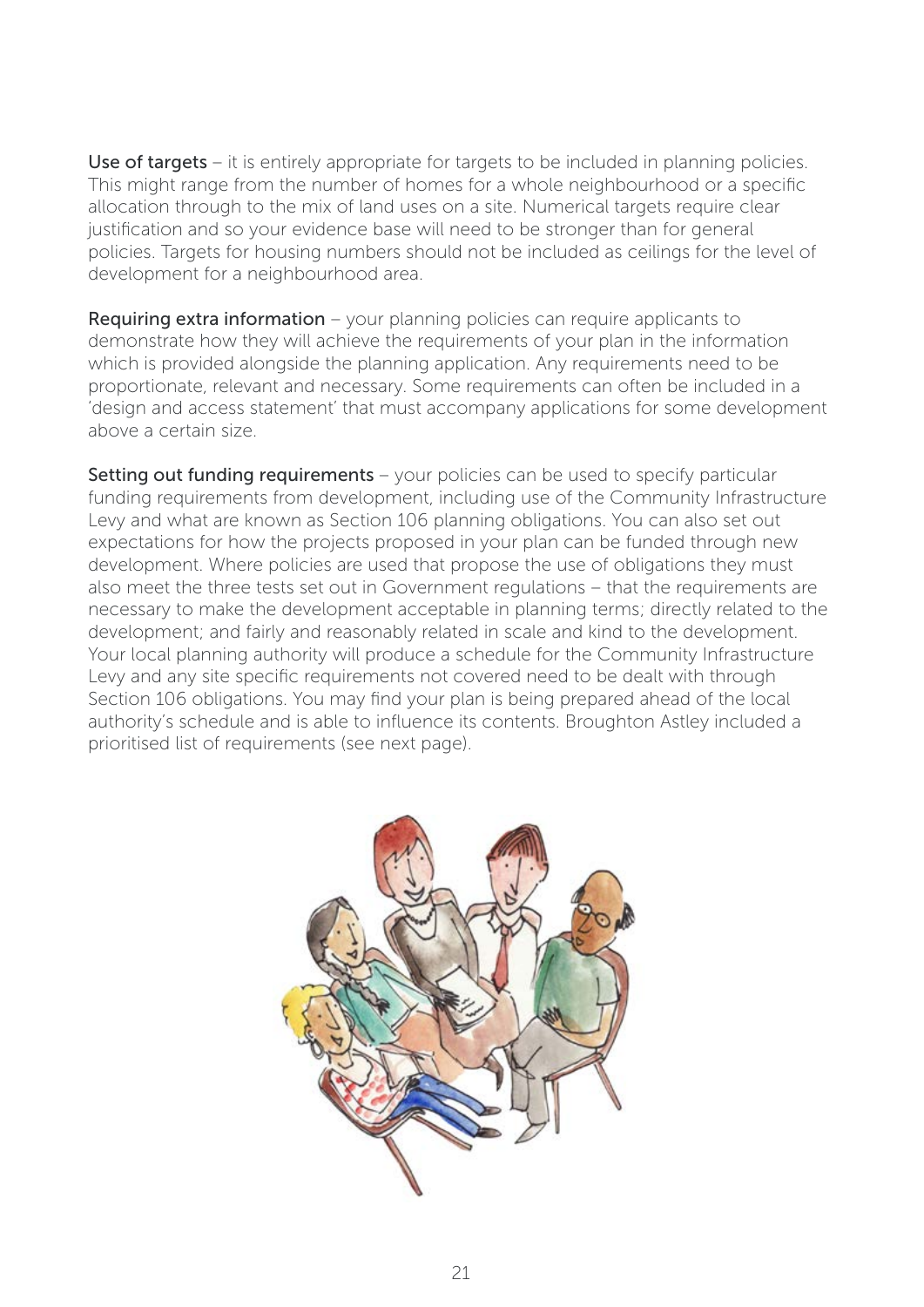Use of targets – it is entirely appropriate for targets to be included in planning policies. This might range from the number of homes for a whole neighbourhood or a specific allocation through to the mix of land uses on a site. Numerical targets require clear justification and so your evidence base will need to be stronger than for general policies. Targets for housing numbers should not be included as ceilings for the level of development for a neighbourhood area.

**Requiring extra information** – your planning policies can require applicants to demonstrate how they will achieve the requirements of your plan in the information which is provided alongside the planning application. Any requirements need to be proportionate, relevant and necessary. Some requirements can often be included in a 'design and access statement' that must accompany applications for some development above a certain size.

Setting out funding requirements – your policies can be used to specify particular funding requirements from development, including use of the Community Infrastructure Levy and what are known as Section 106 planning obligations. You can also set out expectations for how the projects proposed in your plan can be funded through new development. Where policies are used that propose the use of obligations they must also meet the three tests set out in Government regulations – that the requirements are necessary to make the development acceptable in planning terms; directly related to the development; and fairly and reasonably related in scale and kind to the development. Your local planning authority will produce a schedule for the Community Infrastructure Levy and any site specific requirements not covered need to be dealt with through Section 106 obligations. You may find your plan is being prepared ahead of the local authority's schedule and is able to influence its contents. Broughton Astley included a prioritised list of requirements (see next page).

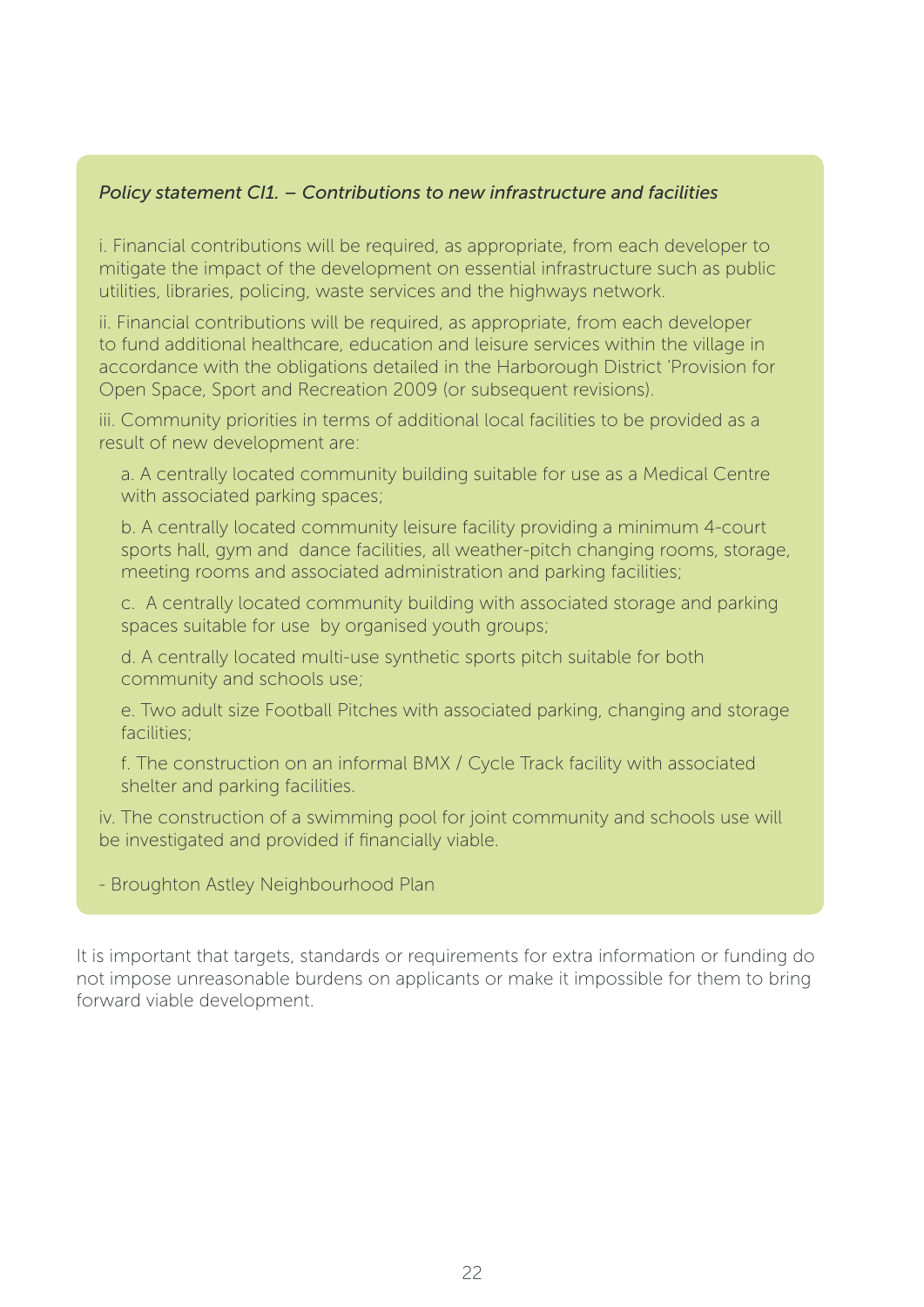#### *Policy statement CI1. – Contributions to new infrastructure and facilities*

i. Financial contributions will be required, as appropriate, from each developer to mitigate the impact of the development on essential infrastructure such as public utilities, libraries, policing, waste services and the highways network.

ii. Financial contributions will be required, as appropriate, from each developer to fund additional healthcare, education and leisure services within the village in accordance with the obligations detailed in the Harborough District 'Provision for Open Space, Sport and Recreation 2009 (or subsequent revisions).

iii. Community priorities in terms of additional local facilities to be provided as a result of new development are:

a. A centrally located community building suitable for use as a Medical Centre with associated parking spaces;

b. A centrally located community leisure facility providing a minimum 4-court sports hall, gym and dance facilities, all weather-pitch changing rooms, storage, meeting rooms and associated administration and parking facilities;

c. A centrally located community building with associated storage and parking spaces suitable for use by organised youth groups;

d. A centrally located multi-use synthetic sports pitch suitable for both community and schools use;

e. Two adult size Football Pitches with associated parking, changing and storage facilities;

f. The construction on an informal BMX / Cycle Track facility with associated shelter and parking facilities.

iv. The construction of a swimming pool for joint community and schools use will be investigated and provided if financially viable.

- Broughton Astley Neighbourhood Plan

It is important that targets, standards or requirements for extra information or funding do not impose unreasonable burdens on applicants or make it impossible for them to bring forward viable development.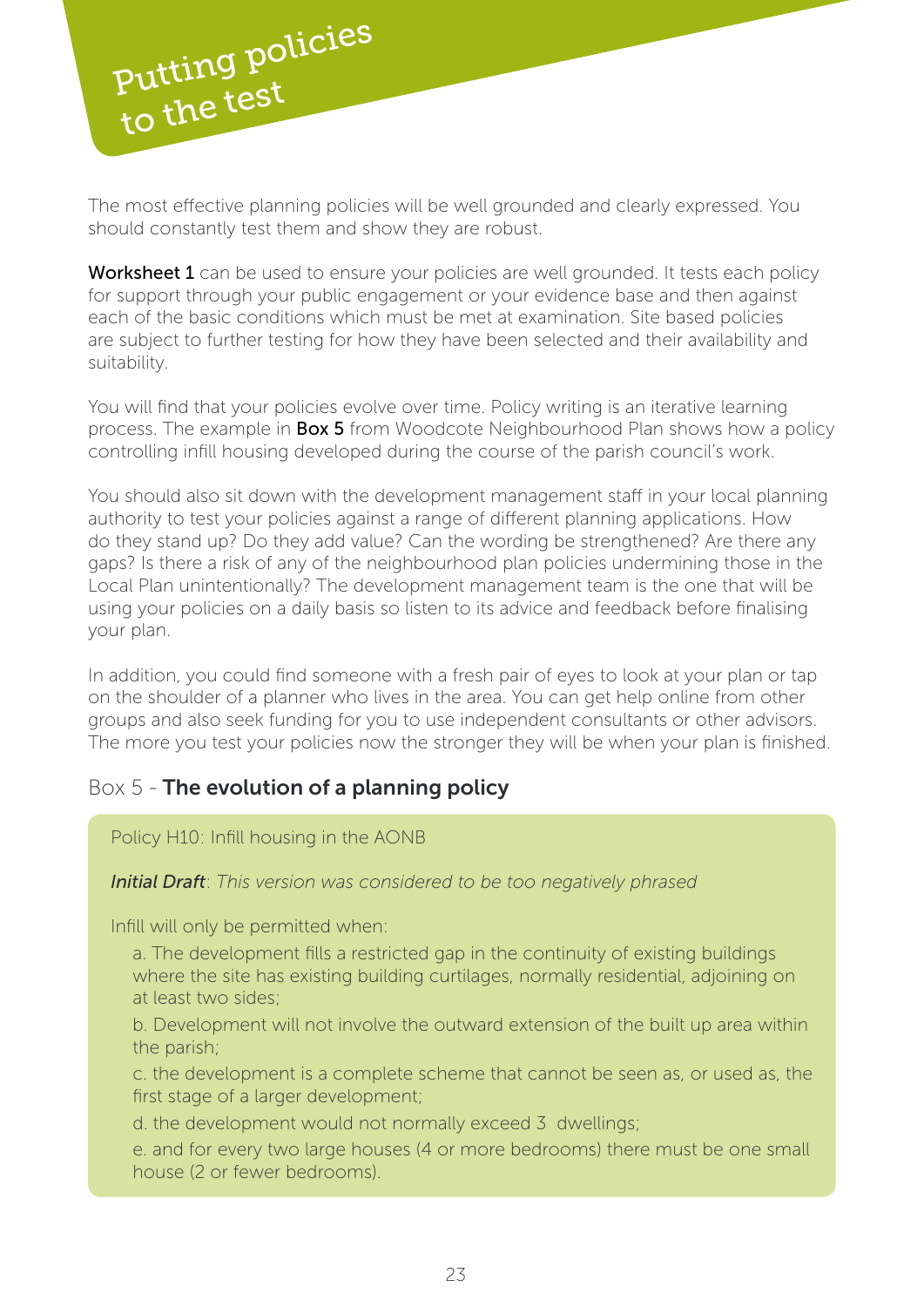

The most effective planning policies will be well grounded and clearly expressed. You should constantly test them and show they are robust.

Worksheet 1 can be used to ensure your policies are well grounded. It tests each policy for support through your public engagement or your evidence base and then against each of the basic conditions which must be met at examination. Site based policies are subject to further testing for how they have been selected and their availability and suitability.

You will find that your policies evolve over time. Policy writing is an iterative learning process. The example in **Box 5** from Woodcote Neighbourhood Plan shows how a policy controlling infill housing developed during the course of the parish council's work.

You should also sit down with the development management staff in your local planning authority to test your policies against a range of different planning applications. How do they stand up? Do they add value? Can the wording be strengthened? Are there any gaps? Is there a risk of any of the neighbourhood plan policies undermining those in the Local Plan unintentionally? The development management team is the one that will be using your policies on a daily basis so listen to its advice and feedback before finalising your plan.

In addition, you could find someone with a fresh pair of eyes to look at your plan or tap on the shoulder of a planner who lives in the area. You can get help online from other groups and also seek funding for you to use independent consultants or other advisors. The more you test your policies now the stronger they will be when your plan is finished.

# Box 5 - The evolution of a planning policy

## Policy H10: Infill housing in the AONB

*Initial Draft*: *This version was considered to be too negatively phrased*

Infill will only be permitted when:

a. The development fills a restricted gap in the continuity of existing buildings where the site has existing building curtilages, normally residential, adjoining on at least two sides;

b. Development will not involve the outward extension of the built up area within the parish;

c. the development is a complete scheme that cannot be seen as, or used as, the first stage of a larger development;

d. the development would not normally exceed 3 dwellings;

e. and for every two large houses (4 or more bedrooms) there must be one small house (2 or fewer bedrooms).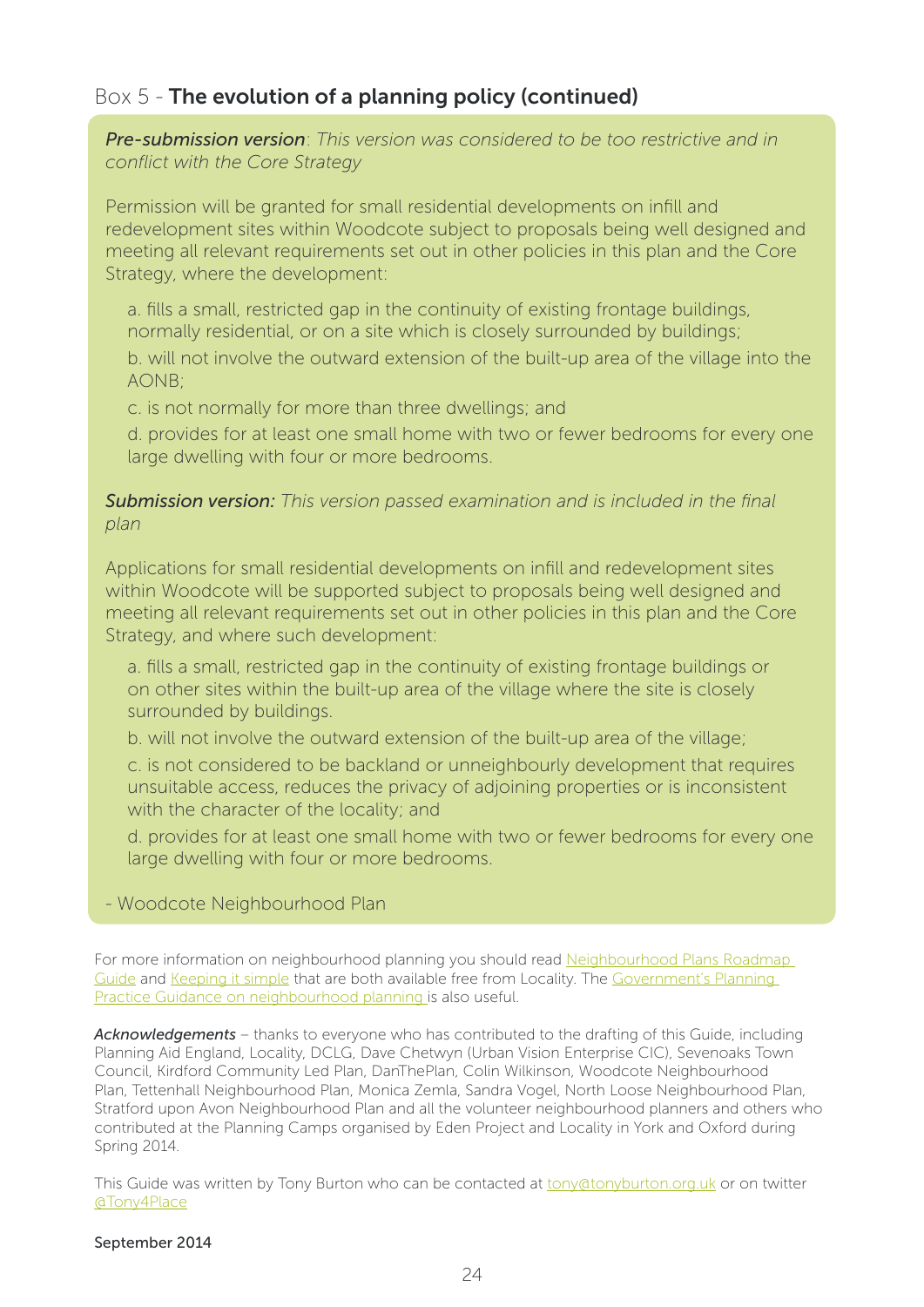# Box 5 - The evolution of a planning policy (continued)

*Pre-submission version*: *This version was considered to be too restrictive and in conflict with the Core Strategy*

Permission will be granted for small residential developments on infill and redevelopment sites within Woodcote subject to proposals being well designed and meeting all relevant requirements set out in other policies in this plan and the Core Strategy, where the development:

a. fills a small, restricted gap in the continuity of existing frontage buildings, normally residential, or on a site which is closely surrounded by buildings;

b. will not involve the outward extension of the built-up area of the village into the AONB;

c. is not normally for more than three dwellings; and

d. provides for at least one small home with two or fewer bedrooms for every one large dwelling with four or more bedrooms.

*Submission version: This version passed examination and is included in the final plan*

Applications for small residential developments on infill and redevelopment sites within Woodcote will be supported subject to proposals being well designed and meeting all relevant requirements set out in other policies in this plan and the Core Strategy, and where such development:

a. fills a small, restricted gap in the continuity of existing frontage buildings or on other sites within the built-up area of the village where the site is closely surrounded by buildings.

b. will not involve the outward extension of the built-up area of the village;

c. is not considered to be backland or unneighbourly development that requires unsuitable access, reduces the privacy of adjoining properties or is inconsistent with the character of the locality; and

d. provides for at least one small home with two or fewer bedrooms for every one large dwelling with four or more bedrooms.

#### - Woodcote Neighbourhood Plan

For more information on neighbourhood planning you should read Neighbourhood Plans Roadmap Guide and [Keeping it simple](http://mycommunityrights.org.uk/wp-content/uploads/2012/04/keeping-it-simple-v3.pdf) that are both available free from Locality. The Government's Planning [Practice Guidance on neighbourhood planning](http://planningguidance.planningportal.gov.uk/blog/guidance/neighbourhood-planning/) is also useful.

*Acknowledgements* – thanks to everyone who has contributed to the drafting of this Guide, including Planning Aid England, Locality, DCLG, Dave Chetwyn (Urban Vision Enterprise CIC), Sevenoaks Town Council, Kirdford Community Led Plan, DanThePlan, Colin Wilkinson, Woodcote Neighbourhood Plan, Tettenhall Neighbourhood Plan, Monica Zemla, Sandra Vogel, North Loose Neighbourhood Plan, Stratford upon Avon Neighbourhood Plan and all the volunteer neighbourhood planners and others who contributed at the Planning Camps organised by Eden Project and Locality in York and Oxford during Spring 2014.

This Guide was written by Tony Burton who can be contacted at **tony**@tonyburton.org.uk or on twitter [@Tony4Place](http://www.twitter.com/tony4place)

#### September 2014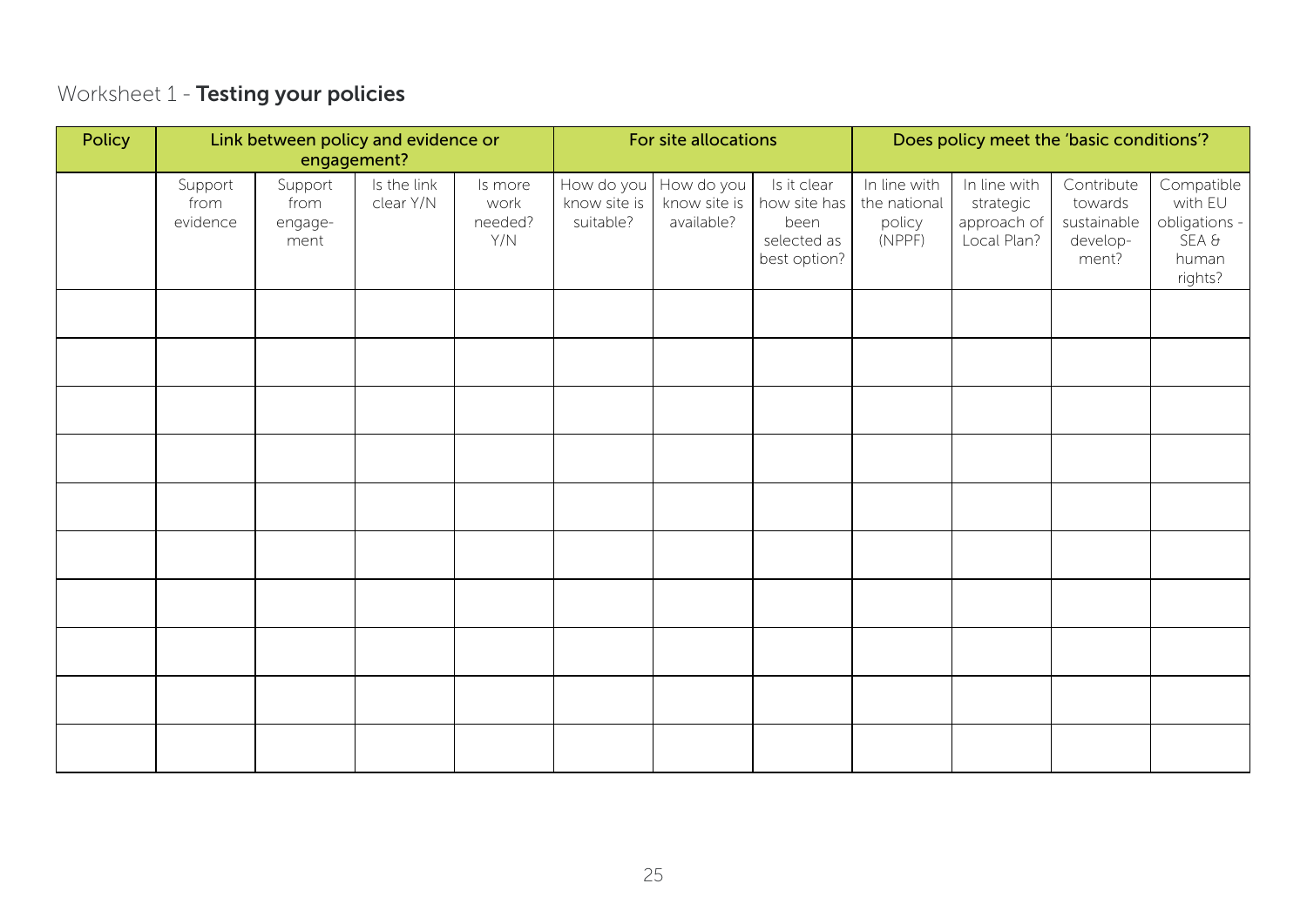# Worksheet 1 - Testing your policies

| <b>Policy</b> | Link between policy and evidence or |                                    |                          |                                   | For site allocations                    |                          |                                                                                         | Does policy meet the 'basic conditions'?         |                                                         |                                                           |                                                                     |
|---------------|-------------------------------------|------------------------------------|--------------------------|-----------------------------------|-----------------------------------------|--------------------------|-----------------------------------------------------------------------------------------|--------------------------------------------------|---------------------------------------------------------|-----------------------------------------------------------|---------------------------------------------------------------------|
|               | engagement?                         |                                    |                          |                                   |                                         |                          |                                                                                         |                                                  |                                                         |                                                           |                                                                     |
|               | Support<br>from<br>evidence         | Support<br>from<br>engage-<br>ment | Is the link<br>clear Y/N | Is more<br>work<br>needed?<br>Y/N | How do you<br>know site is<br>suitable? | How do you<br>available? | Is it clear<br>know site is $ $ how site has $ $<br>been<br>selected as<br>best option? | In line with<br>the national<br>policy<br>(NPPF) | In line with<br>strategic<br>approach of<br>Local Plan? | Contribute<br>towards<br>sustainable<br>develop-<br>ment? | Compatible<br>with EU<br>obligations -<br>SEA &<br>human<br>rights? |
|               |                                     |                                    |                          |                                   |                                         |                          |                                                                                         |                                                  |                                                         |                                                           |                                                                     |
|               |                                     |                                    |                          |                                   |                                         |                          |                                                                                         |                                                  |                                                         |                                                           |                                                                     |
|               |                                     |                                    |                          |                                   |                                         |                          |                                                                                         |                                                  |                                                         |                                                           |                                                                     |
|               |                                     |                                    |                          |                                   |                                         |                          |                                                                                         |                                                  |                                                         |                                                           |                                                                     |
|               |                                     |                                    |                          |                                   |                                         |                          |                                                                                         |                                                  |                                                         |                                                           |                                                                     |
|               |                                     |                                    |                          |                                   |                                         |                          |                                                                                         |                                                  |                                                         |                                                           |                                                                     |
|               |                                     |                                    |                          |                                   |                                         |                          |                                                                                         |                                                  |                                                         |                                                           |                                                                     |
|               |                                     |                                    |                          |                                   |                                         |                          |                                                                                         |                                                  |                                                         |                                                           |                                                                     |
|               |                                     |                                    |                          |                                   |                                         |                          |                                                                                         |                                                  |                                                         |                                                           |                                                                     |
|               |                                     |                                    |                          |                                   |                                         |                          |                                                                                         |                                                  |                                                         |                                                           |                                                                     |